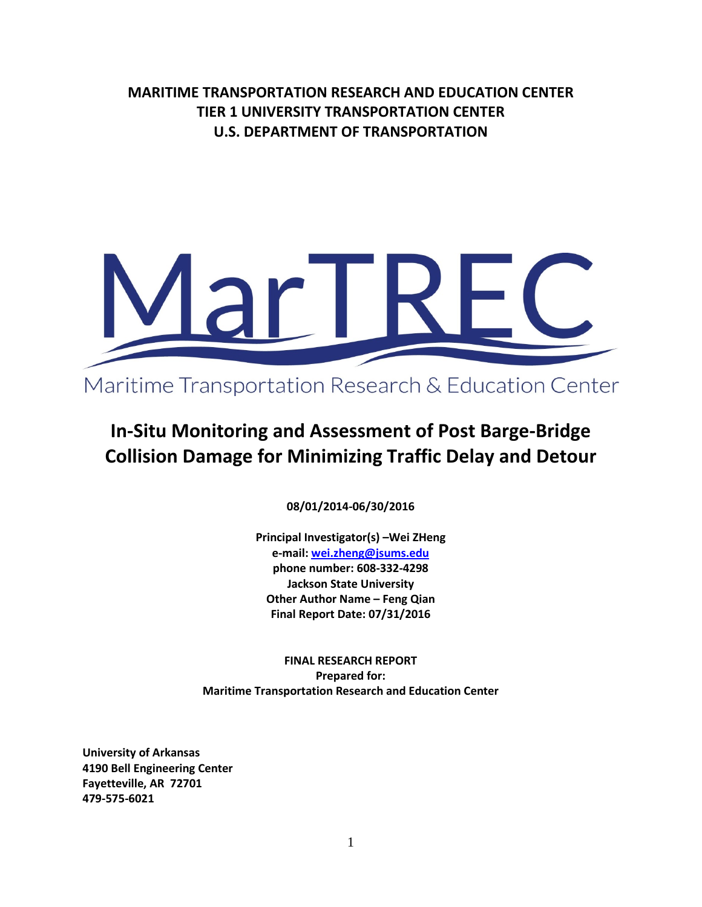**MARITIME TRANSPORTATION RESEARCH AND EDUCATION CENTER TIER 1 UNIVERSITY TRANSPORTATION CENTER U.S. DEPARTMENT OF TRANSPORTATION**



# **In-Situ Monitoring and Assessment of Post Barge-Bridge Collision Damage for Minimizing Traffic Delay and Detour**

**08/01/2014-06/30/2016**

**Principal Investigator(s) –Wei ZHeng e-mail[: wei.zheng@jsums.edu](mailto:wei.zheng@jsums.edu) phone number: 608-332-4298 Jackson State University Other Author Name – Feng Qian Final Report Date: 07/31/2016**

**FINAL RESEARCH REPORT Prepared for: Maritime Transportation Research and Education Center**

**University of Arkansas 4190 Bell Engineering Center Fayetteville, AR 72701 479-575-6021**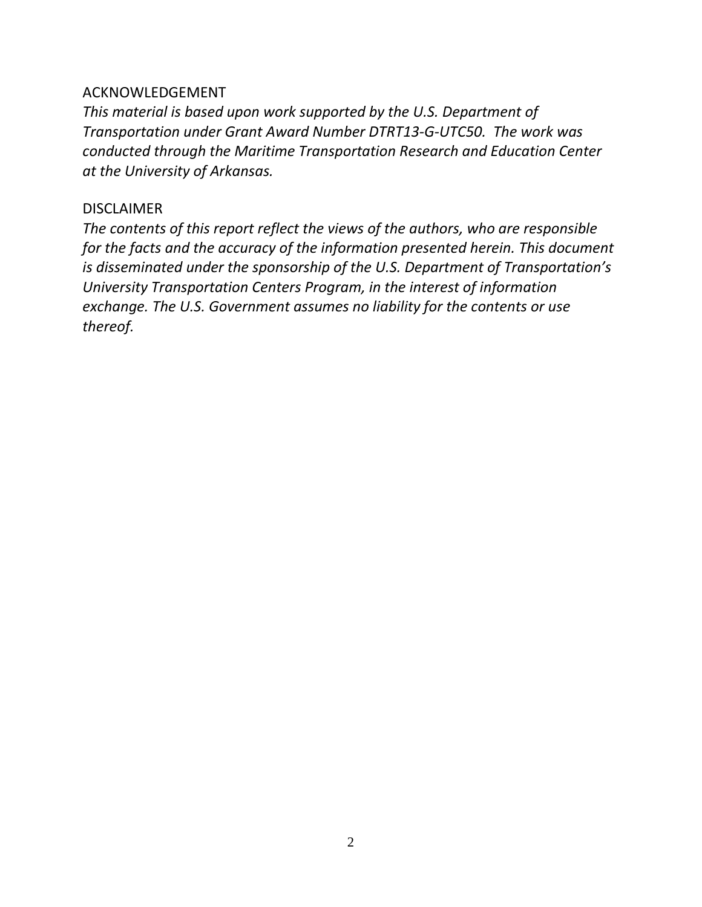# ACKNOWLEDGEMENT

*This material is based upon work supported by the U.S. Department of Transportation under Grant Award Number DTRT13-G-UTC50. The work was conducted through the Maritime Transportation Research and Education Center at the University of Arkansas.* 

# DISCLAIMER

*The contents of this report reflect the views of the authors, who are responsible for the facts and the accuracy of the information presented herein. This document is disseminated under the sponsorship of the U.S. Department of Transportation's University Transportation Centers Program, in the interest of information exchange. The U.S. Government assumes no liability for the contents or use thereof.*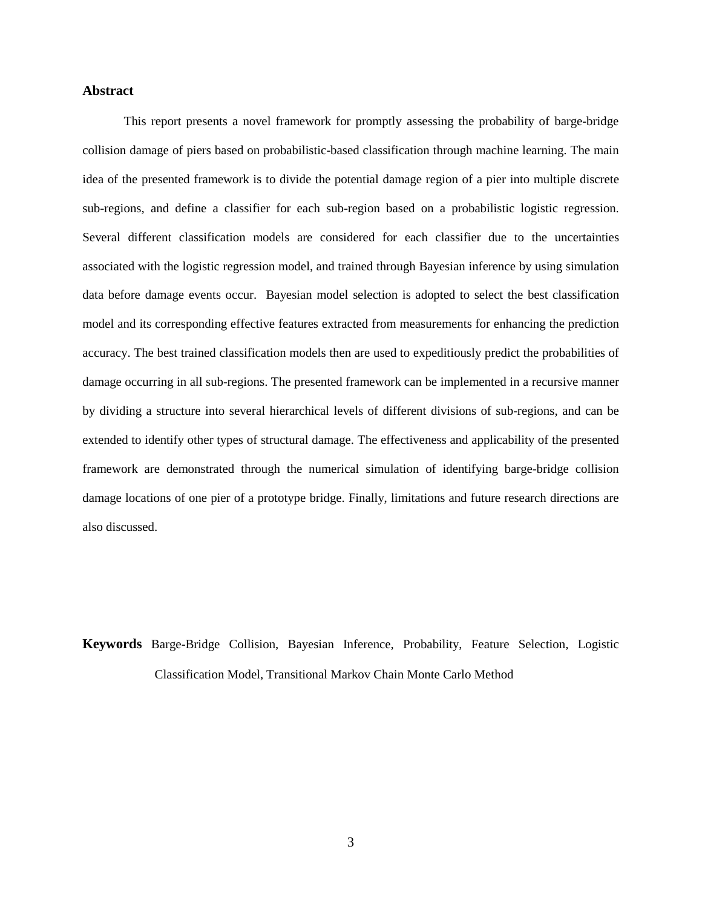# **Abstract**

This report presents a novel framework for promptly assessing the probability of barge-bridge collision damage of piers based on probabilistic-based classification through machine learning. The main idea of the presented framework is to divide the potential damage region of a pier into multiple discrete sub-regions, and define a classifier for each sub-region based on a probabilistic logistic regression. Several different classification models are considered for each classifier due to the uncertainties associated with the logistic regression model, and trained through Bayesian inference by using simulation data before damage events occur. Bayesian model selection is adopted to select the best classification model and its corresponding effective features extracted from measurements for enhancing the prediction accuracy. The best trained classification models then are used to expeditiously predict the probabilities of damage occurring in all sub-regions. The presented framework can be implemented in a recursive manner by dividing a structure into several hierarchical levels of different divisions of sub-regions, and can be extended to identify other types of structural damage. The effectiveness and applicability of the presented framework are demonstrated through the numerical simulation of identifying barge-bridge collision damage locations of one pier of a prototype bridge. Finally, limitations and future research directions are also discussed.

**Keywords** Barge-Bridge Collision, Bayesian Inference, Probability, Feature Selection, Logistic Classification Model, Transitional Markov Chain Monte Carlo Method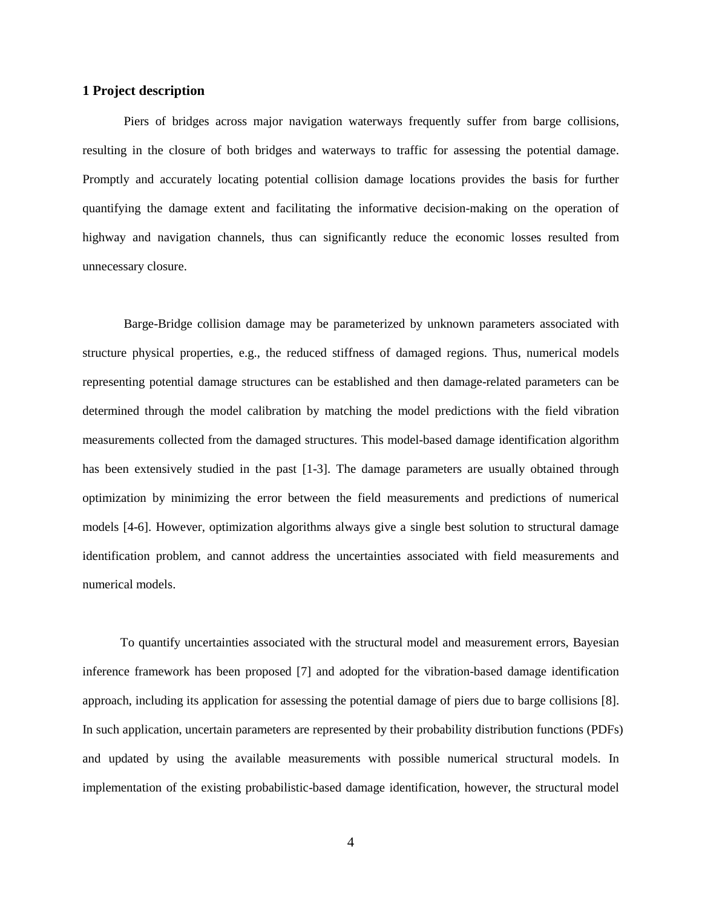#### **1 Project description**

Piers of bridges across major navigation waterways frequently suffer from barge collisions, resulting in the closure of both bridges and waterways to traffic for assessing the potential damage. Promptly and accurately locating potential collision damage locations provides the basis for further quantifying the damage extent and facilitating the informative decision-making on the operation of highway and navigation channels, thus can significantly reduce the economic losses resulted from unnecessary closure.

Barge-Bridge collision damage may be parameterized by unknown parameters associated with structure physical properties, e.g., the reduced stiffness of damaged regions. Thus, numerical models representing potential damage structures can be established and then damage-related parameters can be determined through the model calibration by matching the model predictions with the field vibration measurements collected from the damaged structures. This model-based damage identification algorithm has been extensively studied in the past [1-3]. The damage parameters are usually obtained through optimization by minimizing the error between the field measurements and predictions of numerical models [4-6]. However, optimization algorithms always give a single best solution to structural damage identification problem, and cannot address the uncertainties associated with field measurements and numerical models.

To quantify uncertainties associated with the structural model and measurement errors, Bayesian inference framework has been proposed [7] and adopted for the vibration-based damage identification approach, including its application for assessing the potential damage of piers due to barge collisions [8]. In such application, uncertain parameters are represented by their probability distribution functions (PDFs) and updated by using the available measurements with possible numerical structural models. In implementation of the existing probabilistic-based damage identification, however, the structural model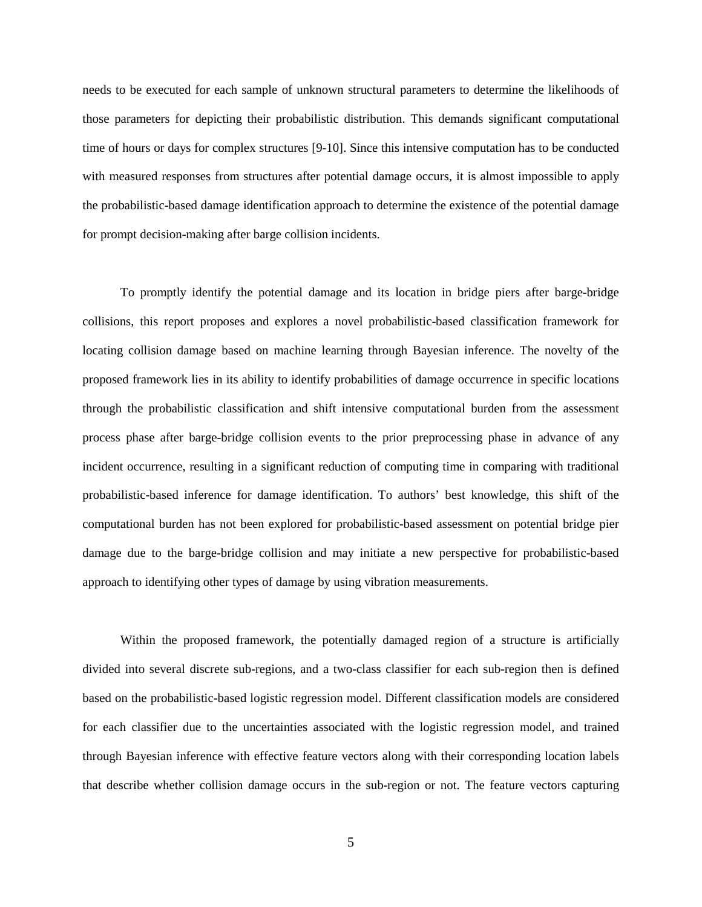needs to be executed for each sample of unknown structural parameters to determine the likelihoods of those parameters for depicting their probabilistic distribution. This demands significant computational time of hours or days for complex structures [9-10]. Since this intensive computation has to be conducted with measured responses from structures after potential damage occurs, it is almost impossible to apply the probabilistic-based damage identification approach to determine the existence of the potential damage for prompt decision-making after barge collision incidents.

To promptly identify the potential damage and its location in bridge piers after barge-bridge collisions, this report proposes and explores a novel probabilistic-based classification framework for locating collision damage based on machine learning through Bayesian inference. The novelty of the proposed framework lies in its ability to identify probabilities of damage occurrence in specific locations through the probabilistic classification and shift intensive computational burden from the assessment process phase after barge-bridge collision events to the prior preprocessing phase in advance of any incident occurrence, resulting in a significant reduction of computing time in comparing with traditional probabilistic-based inference for damage identification. To authors' best knowledge, this shift of the computational burden has not been explored for probabilistic-based assessment on potential bridge pier damage due to the barge-bridge collision and may initiate a new perspective for probabilistic-based approach to identifying other types of damage by using vibration measurements.

Within the proposed framework, the potentially damaged region of a structure is artificially divided into several discrete sub-regions, and a two-class classifier for each sub-region then is defined based on the probabilistic-based logistic regression model. Different classification models are considered for each classifier due to the uncertainties associated with the logistic regression model, and trained through Bayesian inference with effective feature vectors along with their corresponding location labels that describe whether collision damage occurs in the sub-region or not. The feature vectors capturing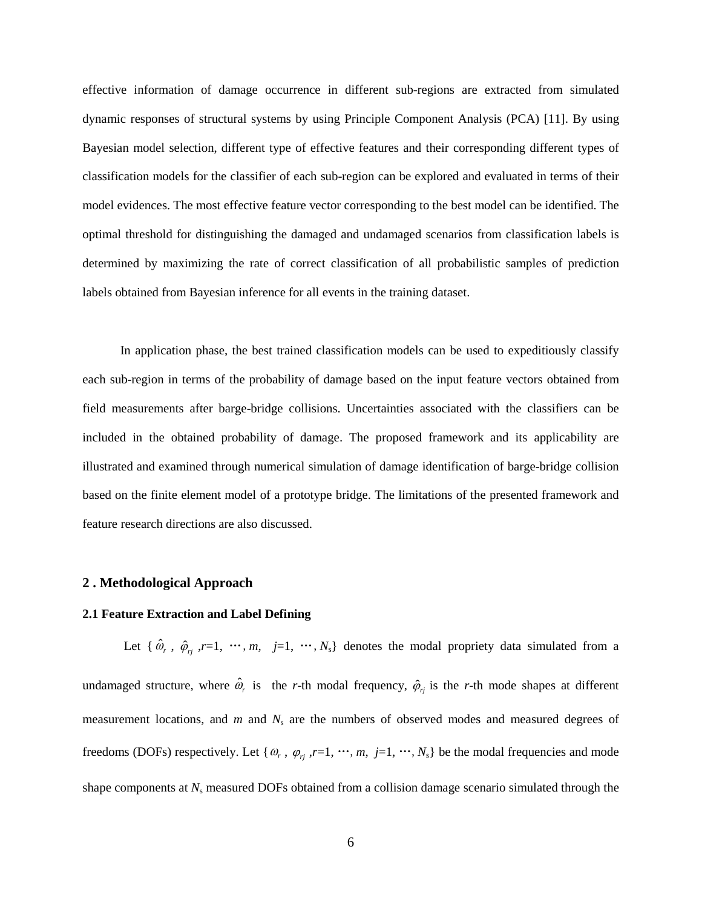effective information of damage occurrence in different sub-regions are extracted from simulated dynamic responses of structural systems by using Principle Component Analysis (PCA) [11]. By using Bayesian model selection, different type of effective features and their corresponding different types of classification models for the classifier of each sub-region can be explored and evaluated in terms of their model evidences. The most effective feature vector corresponding to the best model can be identified. The optimal threshold for distinguishing the damaged and undamaged scenarios from classification labels is determined by maximizing the rate of correct classification of all probabilistic samples of prediction labels obtained from Bayesian inference for all events in the training dataset.

In application phase, the best trained classification models can be used to expeditiously classify each sub-region in terms of the probability of damage based on the input feature vectors obtained from field measurements after barge-bridge collisions. Uncertainties associated with the classifiers can be included in the obtained probability of damage. The proposed framework and its applicability are illustrated and examined through numerical simulation of damage identification of barge-bridge collision based on the finite element model of a prototype bridge. The limitations of the presented framework and feature research directions are also discussed.

#### **2 . Methodological Approach**

#### **2.1 Feature Extraction and Label Defining**

Let { $\hat{\omega}_r$ ,  $\hat{\varphi}_{rj}$ ,  $r=1$ ,  $\cdots$ ,  $m$ ,  $j=1$ ,  $\cdots$ ,  $N_s$ } denotes the modal propriety data simulated from a undamaged structure, where  $\hat{\omega}_r$  is the *r*-th modal frequency,  $\hat{\varphi}_{rj}$  is the *r*-th mode shapes at different measurement locations, and *m* and *N*<sub>s</sub> are the numbers of observed modes and measured degrees of freedoms (DOFs) respectively. Let { $\omega_r$ ,  $\varphi_{rj}$ ,  $r=1$ , …,  $m$ ,  $j=1$ , …,  $N_s$ } be the modal frequencies and mode shape components at *N*<sup>s</sup> measured DOFs obtained from a collision damage scenario simulated through the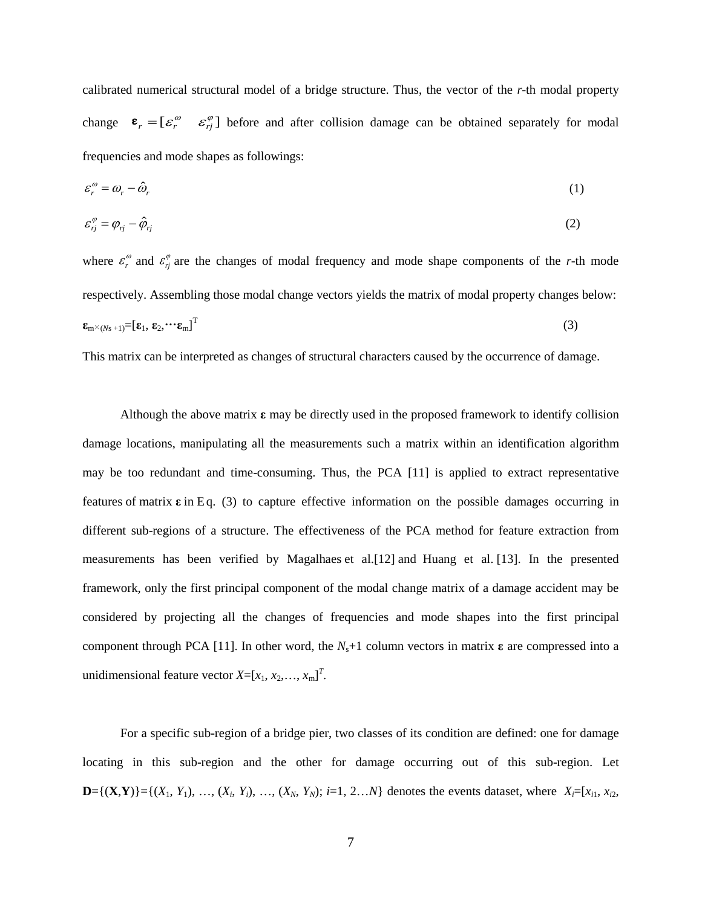calibrated numerical structural model of a bridge structure. Thus, the vector of the *r*-th modal property change  $\epsilon_r = [\varepsilon_r^{\omega} \quad \varepsilon_{rj}^{\varphi}]$  before and after collision damage can be obtained separately for modal frequencies and mode shapes as followings:

$$
\varepsilon_r^{\omega} = \omega_r - \hat{\omega}_r \tag{1}
$$

$$
\varepsilon_{rj}^{\varphi} = \varphi_{rj} - \hat{\varphi}_{rj} \tag{2}
$$

where  $\varepsilon_r^{\omega}$  and  $\varepsilon_{rj}^{\varphi}$  are the changes of modal frequency and mode shape components of the *r*-th mode respectively. Assembling those modal change vectors yields the matrix of modal property changes below:  $\mathbf{\epsilon}_{\text{m}^{\times}\left(N\text{s }+1\right)}\text{=}\left[\mathbf{\epsilon}_{1},\,\mathbf{\epsilon}_{2},\!\cdots\mathbf{\epsilon}_{\text{m}}\right]^{\text{T}}$ (3)

This matrix can be interpreted as changes of structural characters caused by the occurrence of damage.

Although the above matrix **ε** may be directly used in the proposed framework to identify collision damage locations, manipulating all the measurements such a matrix within an identification algorithm may be too redundant and time-consuming. Thus, the PCA [11] is applied to extract representative features of matrix **ε** in Eq. (3) to capture effective information on the possible damages occurring in different sub-regions of a structure. The effectiveness of the PCA method for feature extraction from measurements has been verified by Magalhaes et al.[12] and Huang et al. [13]. In the presented framework, only the first principal component of the modal change matrix of a damage accident may be considered by projecting all the changes of frequencies and mode shapes into the first principal component through PCA [11]. In other word, the  $N_s+1$  column vectors in matrix **ε** are compressed into a unidimensional feature vector  $X=[x_1, x_2, \ldots, x_m]^T$ .

For a specific sub-region of a bridge pier, two classes of its condition are defined: one for damage locating in this sub-region and the other for damage occurring out of this sub-region. Let **D**={(**X**,**Y**)}={(*X*<sub>1</sub>, *Y*<sub>1</sub>), …, (*X*<sub>*i*</sub>, *Y*<sub>*i*</sub>), …, (*X*<sub>*N*</sub>, *Y*<sub>*N*</sub>); *i*=1, 2…*N*} denotes the events dataset, where *X<sub>i</sub>*=[*x*<sub>i1</sub>, *x*<sub>i2</sub>,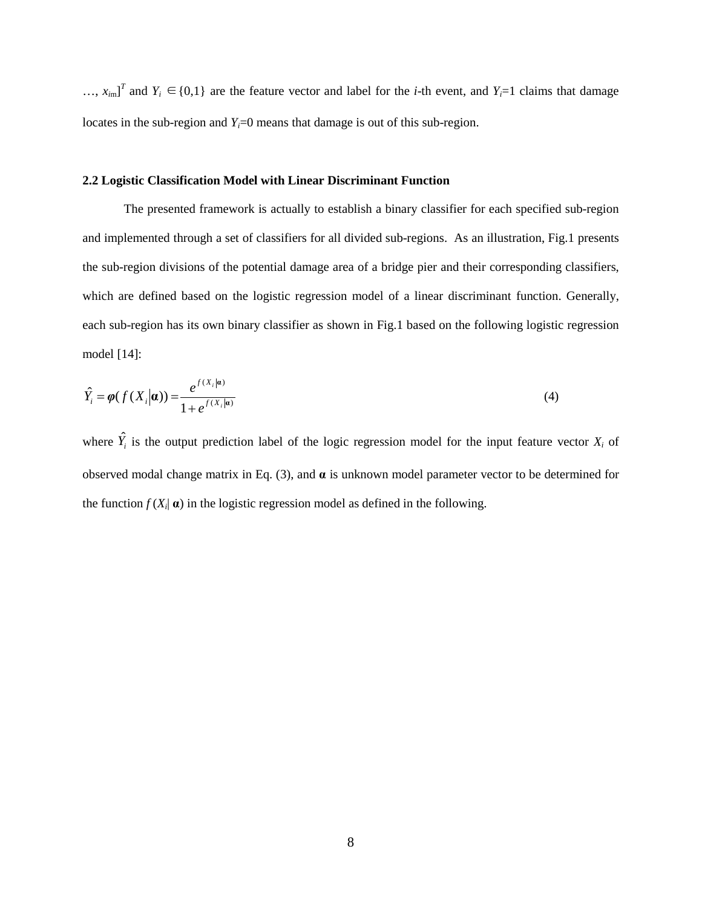...,  $x_{im}$ <sup>T</sup> and  $Y_i$  ∈{0,1} are the feature vector and label for the *i*-th event, and  $Y_i$ =1 claims that damage locates in the sub-region and  $Y_i=0$  means that damage is out of this sub-region.

#### **2.2 Logistic Classification Model with Linear Discriminant Function**

The presented framework is actually to establish a binary classifier for each specified sub-region and implemented through a set of classifiers for all divided sub-regions. As an illustration, Fig.1 presents the sub-region divisions of the potential damage area of a bridge pier and their corresponding classifiers, which are defined based on the logistic regression model of a linear discriminant function. Generally, each sub-region has its own binary classifier as shown in Fig.1 based on the following logistic regression model [14]:

$$
\hat{Y}_i = \varphi(f(X_i|\boldsymbol{a})) = \frac{e^{f(X_i|\boldsymbol{a})}}{1 + e^{f(X_i|\boldsymbol{a})}}
$$
\n(4)

where  $\hat{Y}_i$  is the output prediction label of the logic regression model for the input feature vector  $X_i$  of observed modal change matrix in Eq. (3), and **α** is unknown model parameter vector to be determined for the function  $f(X_i | \mathbf{a})$  in the logistic regression model as defined in the following.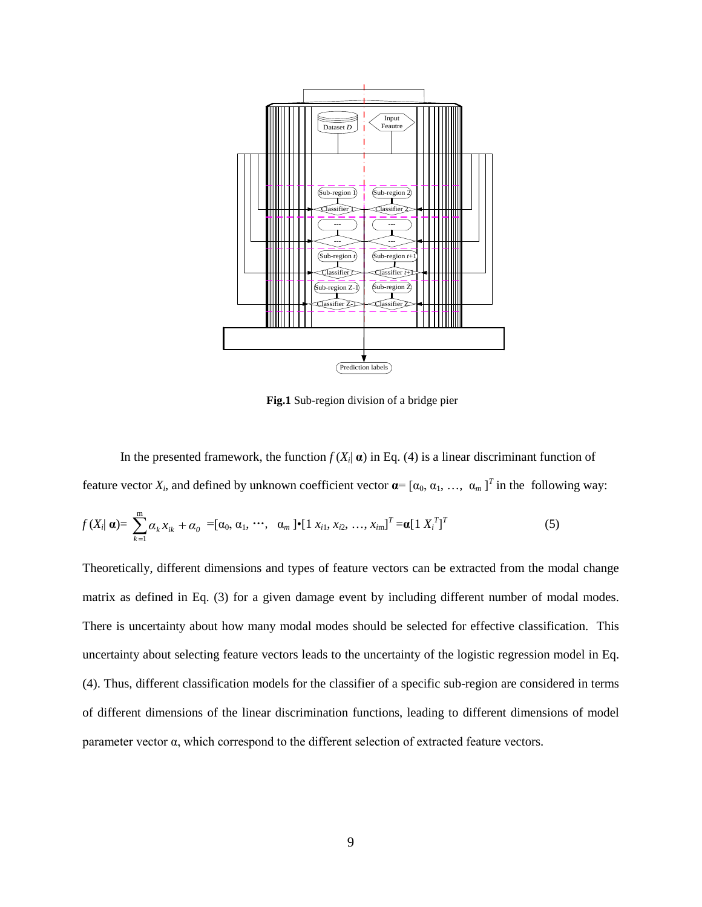

**Fig.1** Sub-region division of a bridge pier

In the presented framework, the function  $f(X_i | \alpha)$  in Eq. (4) is a linear discriminant function of feature vector  $X_i$ , and defined by unknown coefficient vector  $\boldsymbol{\alpha} = [\alpha_0, \alpha_1, \dots, \alpha_m]^T$  in the following way:

$$
f(X_i|\mathbf{a}) = \sum_{k=1}^{m} \alpha_k x_{ik} + \alpha_0 = [\alpha_0, \alpha_1, \cdots, \alpha_m] \bullet [1 \ x_{i1}, x_{i2}, \dots, x_{im}]^T = \mathbf{a} [1 \ X_i^T]^T
$$
 (5)

Theoretically, different dimensions and types of feature vectors can be extracted from the modal change matrix as defined in Eq. (3) for a given damage event by including different number of modal modes. There is uncertainty about how many modal modes should be selected for effective classification. This uncertainty about selecting feature vectors leads to the uncertainty of the logistic regression model in Eq. (4). Thus, different classification models for the classifier of a specific sub-region are considered in terms of different dimensions of the linear discrimination functions, leading to different dimensions of model parameter vector α, which correspond to the different selection of extracted feature vectors.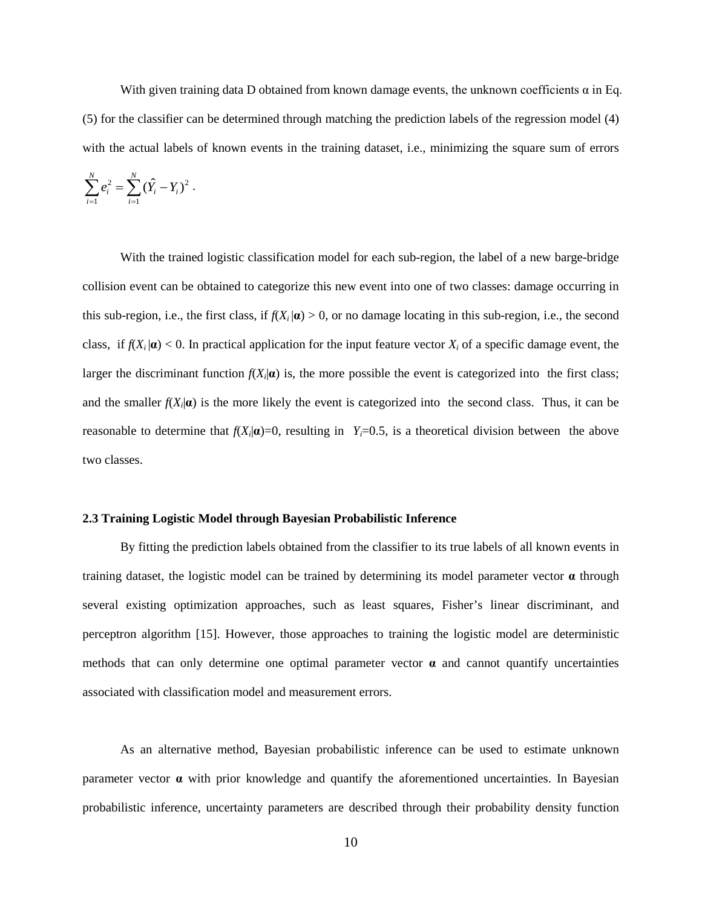With given training data D obtained from known damage events, the unknown coefficients  $\alpha$  in Eq. (5) for the classifier can be determined through matching the prediction labels of the regression model (4) with the actual labels of known events in the training dataset, i.e., minimizing the square sum of errors

$$
\sum_{i=1}^N e_i^2 = \sum_{i=1}^N (\hat{Y}_i - Y_i)^2.
$$

With the trained logistic classification model for each sub-region, the label of a new barge-bridge collision event can be obtained to categorize this new event into one of two classes: damage occurring in this sub-region, i.e., the first class, if  $f(X_i|\mathbf{a}) > 0$ , or no damage locating in this sub-region, i.e., the second class, if  $f(X_i|\mathbf{a}) < 0$ . In practical application for the input feature vector  $X_i$  of a specific damage event, the larger the discriminant function  $f(X_i|\boldsymbol{a})$  is, the more possible the event is categorized into the first class; and the smaller  $f(X_i|\boldsymbol{a})$  is the more likely the event is categorized into the second class. Thus, it can be reasonable to determine that  $f(X_i|\mathbf{a})=0$ , resulting in  $Y_i=0.5$ , is a theoretical division between the above two classes.

# **2.3 Training Logistic Model through Bayesian Probabilistic Inference**

By fitting the prediction labels obtained from the classifier to its true labels of all known events in training dataset, the logistic model can be trained by determining its model parameter vector **α** through several existing optimization approaches, such as least squares, Fisher's linear discriminant, and perceptron algorithm [15]. However, those approaches to training the logistic model are deterministic methods that can only determine one optimal parameter vector  $\alpha$  and cannot quantify uncertainties associated with classification model and measurement errors.

As an alternative method, Bayesian probabilistic inference can be used to estimate unknown parameter vector  $\alpha$  with prior knowledge and quantify the aforementioned uncertainties. In Bayesian probabilistic inference, uncertainty parameters are described through their probability density function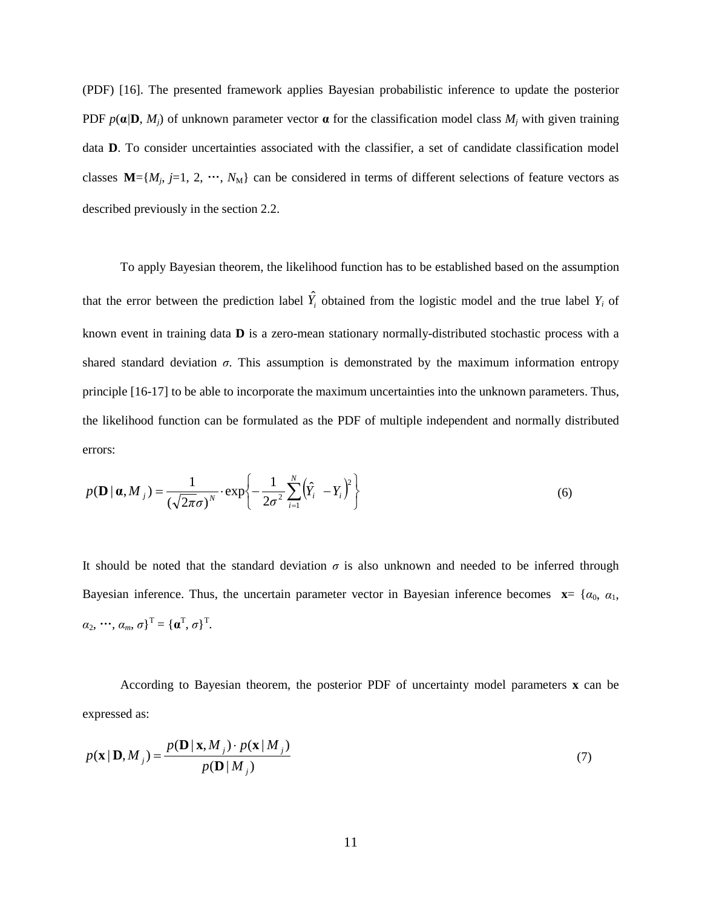(PDF) [16]. The presented framework applies Bayesian probabilistic inference to update the posterior PDF  $p(\mathbf{a}/\mathbf{D}, M_i)$  of unknown parameter vector  $\mathbf{a}$  for the classification model class  $M_i$  with given training data **D**. To consider uncertainties associated with the classifier, a set of candidate classification model classes  $M=[M_j, j=1, 2, \cdots, N_M]$  can be considered in terms of different selections of feature vectors as described previously in the section 2.2.

To apply Bayesian theorem, the likelihood function has to be established based on the assumption that the error between the prediction label  $\hat{Y}_i$  obtained from the logistic model and the true label  $Y_i$  of known event in training data **D** is a zero-mean stationary normally-distributed stochastic process with a shared standard deviation  $\sigma$ . This assumption is demonstrated by the maximum information entropy principle [16-17] to be able to incorporate the maximum uncertainties into the unknown parameters. Thus, the likelihood function can be formulated as the PDF of multiple independent and normally distributed errors:

$$
p(\mathbf{D} \mid \boldsymbol{\alpha}, M_{j}) = \frac{1}{\left(\sqrt{2\pi}\sigma\right)^{N}} \cdot \exp\left\{-\frac{1}{2\sigma^{2}} \sum_{i=1}^{N} \left(\hat{Y}_{i} - Y_{i}\right)^{2}\right\}
$$
(6)

It should be noted that the standard deviation  $\sigma$  is also unknown and needed to be inferred through Bayesian inference. Thus, the uncertain parameter vector in Bayesian inference becomes  $\mathbf{x} = \{a_0, a_1, a_2, \ldots, a_n\}$  $(\alpha_2, \dots, \alpha_m, \sigma)^{\mathrm{T}} = {\{\boldsymbol{\alpha}^{\mathrm{T}}, \sigma\}}^{\mathrm{T}}.$ 

According to Bayesian theorem, the posterior PDF of uncertainty model parameters **x** can be expressed as:

$$
p(\mathbf{x} | \mathbf{D}, M_j) = \frac{p(\mathbf{D} | \mathbf{x}, M_j) \cdot p(\mathbf{x} | M_j)}{p(\mathbf{D} | M_j)}
$$
(7)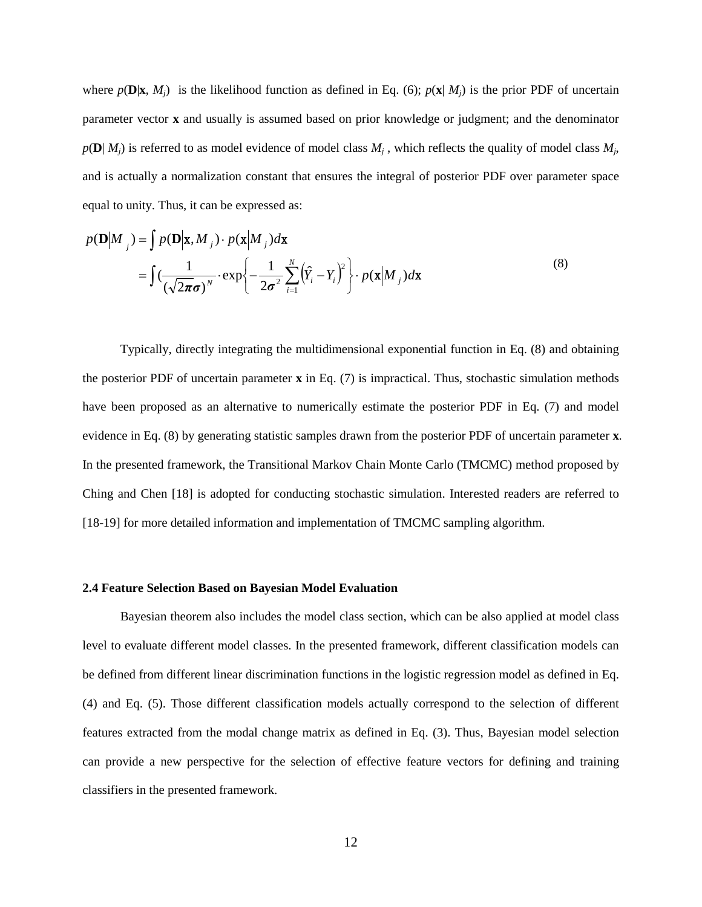where  $p(\mathbf{D}|\mathbf{x}, M_i)$  is the likelihood function as defined in Eq. (6);  $p(\mathbf{x} | M_i)$  is the prior PDF of uncertain parameter vector **x** and usually is assumed based on prior knowledge or judgment; and the denominator  $p(\mathbf{D} | M_i)$  is referred to as model evidence of model class  $M_i$ , which reflects the quality of model class  $M_i$ , and is actually a normalization constant that ensures the integral of posterior PDF over parameter space equal to unity. Thus, it can be expressed as:

$$
p(\mathbf{D}|M_{j}) = \int p(\mathbf{D}|\mathbf{x}, M_{j}) \cdot p(\mathbf{x}|M_{j}) d\mathbf{x}
$$
  
= 
$$
\int (\frac{1}{(\sqrt{2\pi}\sigma)^{N}} \cdot \exp\left\{-\frac{1}{2\sigma^{2}} \sum_{i=1}^{N} (\hat{Y}_{i} - Y_{i})^{2}\right\} \cdot p(\mathbf{x}|M_{j}) d\mathbf{x}
$$
 (8)

Typically, directly integrating the multidimensional exponential function in Eq. (8) and obtaining the posterior PDF of uncertain parameter **x** in Eq. (7) is impractical. Thus, stochastic simulation methods have been proposed as an alternative to numerically estimate the posterior PDF in Eq. (7) and model evidence in Eq. (8) by generating statistic samples drawn from the posterior PDF of uncertain parameter **x**. In the presented framework, the Transitional Markov Chain Monte Carlo (TMCMC) method proposed by Ching and Chen [18] is adopted for conducting stochastic simulation. Interested readers are referred to [18-19] for more detailed information and implementation of TMCMC sampling algorithm.

# **2.4 Feature Selection Based on Bayesian Model Evaluation**

Bayesian theorem also includes the model class section, which can be also applied at model class level to evaluate different model classes. In the presented framework, different classification models can be defined from different linear discrimination functions in the logistic regression model as defined in Eq. (4) and Eq. (5). Those different classification models actually correspond to the selection of different features extracted from the modal change matrix as defined in Eq. (3). Thus, Bayesian model selection can provide a new perspective for the selection of effective feature vectors for defining and training classifiers in the presented framework.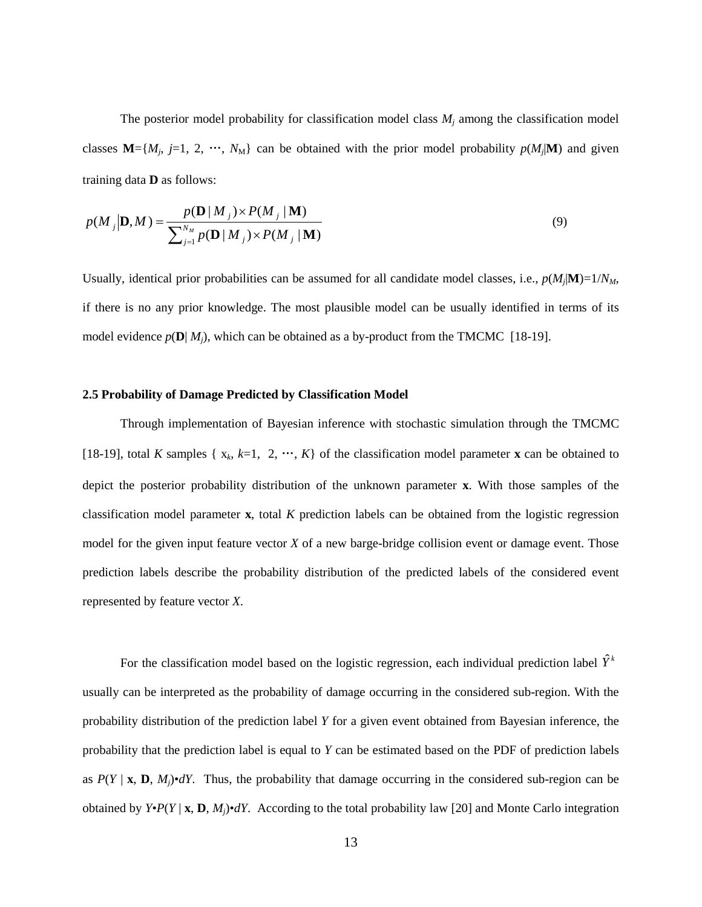The posterior model probability for classification model class  $M_j$  among the classification model classes  $M = \{M_j, j=1, 2, \cdots, N_M\}$  can be obtained with the prior model probability  $p(M_j|M)$  and given training data **D** as follows:

$$
p(M_j|\mathbf{D},M) = \frac{p(\mathbf{D} | M_j) \times P(M_j | \mathbf{M})}{\sum_{j=1}^{N_M} p(\mathbf{D} | M_j) \times P(M_j | \mathbf{M})}
$$
(9)

Usually, identical prior probabilities can be assumed for all candidate model classes, i.e.,  $p(M_j|M)=1/N_M$ , if there is no any prior knowledge. The most plausible model can be usually identified in terms of its model evidence  $p(\mathbf{D} | M_i)$ , which can be obtained as a by-product from the TMCMC [18-19].

#### **2.5 Probability of Damage Predicted by Classification Model**

Through implementation of Bayesian inference with stochastic simulation through the TMCMC [18-19], total *K* samples { $x_k$ ,  $k=1, 2, \dots, K$ } of the classification model parameter **x** can be obtained to depict the posterior probability distribution of the unknown parameter **x**. With those samples of the classification model parameter **x**, total *K* prediction labels can be obtained from the logistic regression model for the given input feature vector *X* of a new barge-bridge collision event or damage event. Those prediction labels describe the probability distribution of the predicted labels of the considered event represented by feature vector *X*.

For the classification model based on the logistic regression, each individual prediction label  $\hat{Y}^k$ usually can be interpreted as the probability of damage occurring in the considered sub-region. With the probability distribution of the prediction label *Y* for a given event obtained from Bayesian inference, the probability that the prediction label is equal to *Y* can be estimated based on the PDF of prediction labels as  $P(Y | x, D, M<sub>i</sub>)$ •*dY*. Thus, the probability that damage occurring in the considered sub-region can be obtained by  $Y \cdot P(Y | X, D, M) \cdot dY$ . According to the total probability law [20] and Monte Carlo integration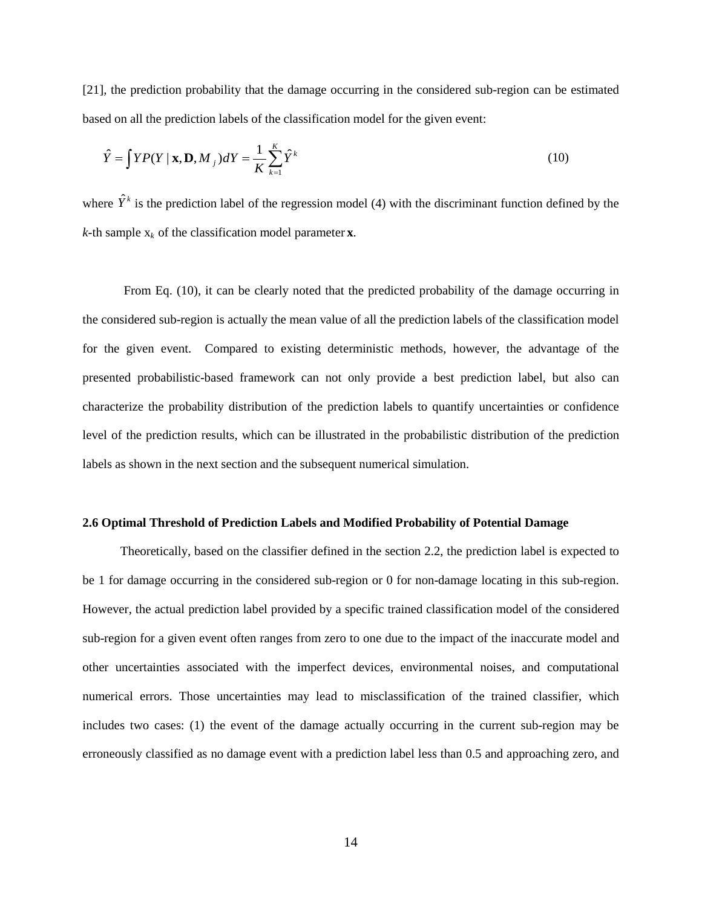[21], the prediction probability that the damage occurring in the considered sub-region can be estimated based on all the prediction labels of the classification model for the given event:

$$
\hat{Y} = \int Y P(Y \mid \mathbf{x}, \mathbf{D}, M_j) dY = \frac{1}{K} \sum_{k=1}^{K} \hat{Y}^k
$$
\n(10)

where  $\hat{Y}^k$  is the prediction label of the regression model (4) with the discriminant function defined by the *k*-th sample  $x_k$  of the classification model parameter **x**.

From Eq. (10), it can be clearly noted that the predicted probability of the damage occurring in the considered sub-region is actually the mean value of all the prediction labels of the classification model for the given event. Compared to existing deterministic methods, however, the advantage of the presented probabilistic-based framework can not only provide a best prediction label, but also can characterize the probability distribution of the prediction labels to quantify uncertainties or confidence level of the prediction results, which can be illustrated in the probabilistic distribution of the prediction labels as shown in the next section and the subsequent numerical simulation.

## **2.6 Optimal Threshold of Prediction Labels and Modified Probability of Potential Damage**

Theoretically, based on the classifier defined in the section 2.2, the prediction label is expected to be 1 for damage occurring in the considered sub-region or 0 for non-damage locating in this sub-region. However, the actual prediction label provided by a specific trained classification model of the considered sub-region for a given event often ranges from zero to one due to the impact of the inaccurate model and other uncertainties associated with the imperfect devices, environmental noises, and computational numerical errors. Those uncertainties may lead to misclassification of the trained classifier, which includes two cases: (1) the event of the damage actually occurring in the current sub-region may be erroneously classified as no damage event with a prediction label less than 0.5 and approaching zero, and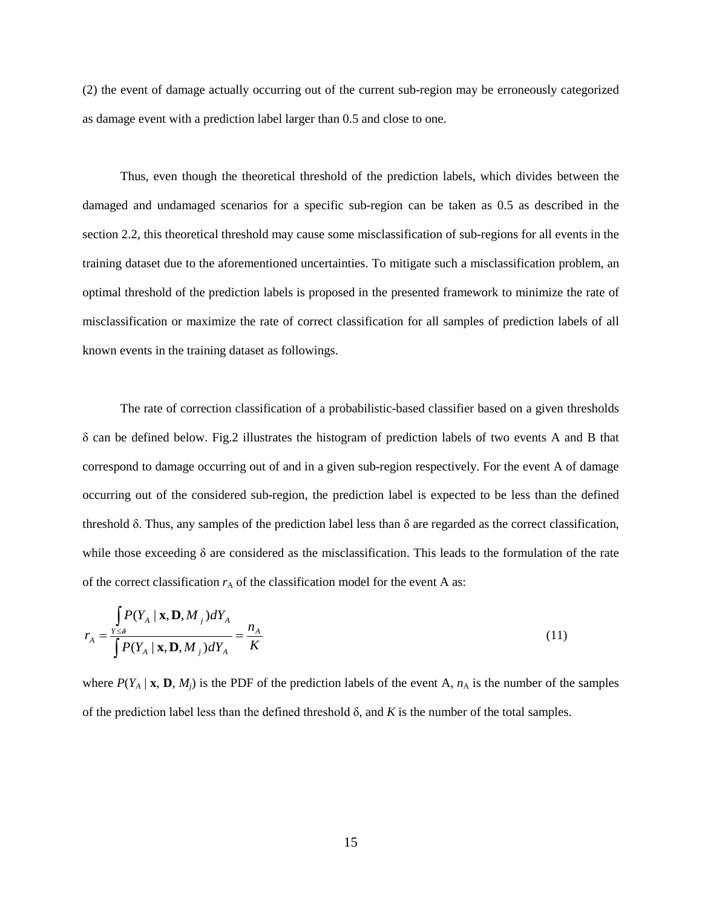(2) the event of damage actually occurring out of the current sub-region may be erroneously categorized as damage event with a prediction label larger than 0.5 and close to one.

Thus, even though the theoretical threshold of the prediction labels, which divides between the damaged and undamaged scenarios for a specific sub-region can be taken as 0.5 as described in the section 2.2, this theoretical threshold may cause some misclassification of sub-regions for all events in the training dataset due to the aforementioned uncertainties. To mitigate such a misclassification problem, an optimal threshold of the prediction labels is proposed in the presented framework to minimize the rate of misclassification or maximize the rate of correct classification for all samples of prediction labels of all known events in the training dataset as followings.

The rate of correction classification of a probabilistic-based classifier based on a given thresholds δ can be defined below. Fig.2 illustrates the histogram of prediction labels of two events A and B that correspond to damage occurring out of and in a given sub-region respectively. For the event A of damage occurring out of the considered sub-region, the prediction label is expected to be less than the defined threshold δ. Thus, any samples of the prediction label less than δ are regarded as the correct classification, while those exceeding  $\delta$  are considered as the misclassification. This leads to the formulation of the rate of the correct classification  $r_A$  of the classification model for the event A as:

$$
r_A = \frac{\int P(Y_A \mid \mathbf{x}, \mathbf{D}, M_j) dY_A}{\int P(Y_A \mid \mathbf{x}, \mathbf{D}, M_j) dY_A} = \frac{n_A}{K}
$$
\n(11)

where  $P(Y_A | \mathbf{x}, \mathbf{D}, M_j)$  is the PDF of the prediction labels of the event A,  $n_A$  is the number of the samples of the prediction label less than the defined threshold  $\delta$ , and  $K$  is the number of the total samples.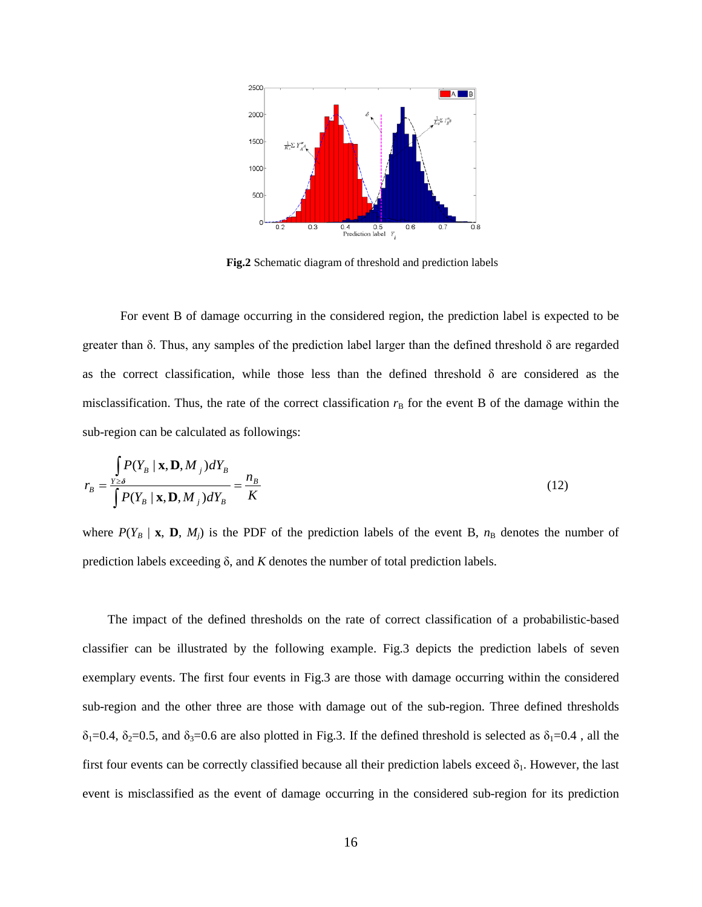

**Fig.2** Schematic diagram of threshold and prediction labels

For event B of damage occurring in the considered region, the prediction label is expected to be greater than  $\delta$ . Thus, any samples of the prediction label larger than the defined threshold  $\delta$  are regarded as the correct classification, while those less than the defined threshold  $\delta$  are considered as the misclassification. Thus, the rate of the correct classification  $r<sub>B</sub>$  for the event B of the damage within the sub-region can be calculated as followings:

$$
r_B = \frac{\int P(Y_B | \mathbf{x}, \mathbf{D}, M_j) dY_B}{\int P(Y_B | \mathbf{x}, \mathbf{D}, M_j) dY_B} = \frac{n_B}{K}
$$
(12)

where  $P(Y_B | \mathbf{x}, \mathbf{D}, M_j)$  is the PDF of the prediction labels of the event B,  $n_B$  denotes the number of prediction labels exceeding δ, and *K* denotes the number of total prediction labels.

 The impact of the defined thresholds on the rate of correct classification of a probabilistic-based classifier can be illustrated by the following example. Fig.3 depicts the prediction labels of seven exemplary events. The first four events in Fig.3 are those with damage occurring within the considered sub-region and the other three are those with damage out of the sub-region. Three defined thresholds  $\delta_1=0.4$ ,  $\delta_2=0.5$ , and  $\delta_3=0.6$  are also plotted in Fig.3. If the defined threshold is selected as  $\delta_1=0.4$ , all the first four events can be correctly classified because all their prediction labels exceed  $\delta_1$ . However, the last event is misclassified as the event of damage occurring in the considered sub-region for its prediction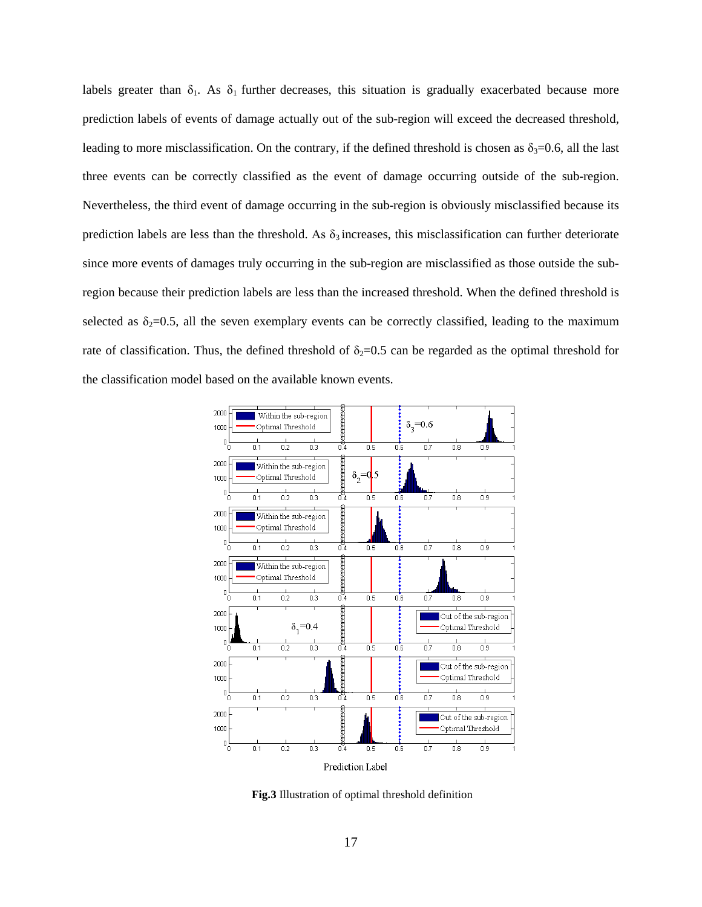labels greater than  $\delta_1$ . As  $\delta_1$  further decreases, this situation is gradually exacerbated because more prediction labels of events of damage actually out of the sub-region will exceed the decreased threshold, leading to more misclassification. On the contrary, if the defined threshold is chosen as  $\delta_3=0.6$ , all the last three events can be correctly classified as the event of damage occurring outside of the sub-region. Nevertheless, the third event of damage occurring in the sub-region is obviously misclassified because its prediction labels are less than the threshold. As  $\delta_3$  increases, this misclassification can further deteriorate since more events of damages truly occurring in the sub-region are misclassified as those outside the subregion because their prediction labels are less than the increased threshold. When the defined threshold is selected as  $\delta_2=0.5$ , all the seven exemplary events can be correctly classified, leading to the maximum rate of classification. Thus, the defined threshold of  $\delta_2=0.5$  can be regarded as the optimal threshold for the classification model based on the available known events.



**Fig.3** Illustration of optimal threshold definition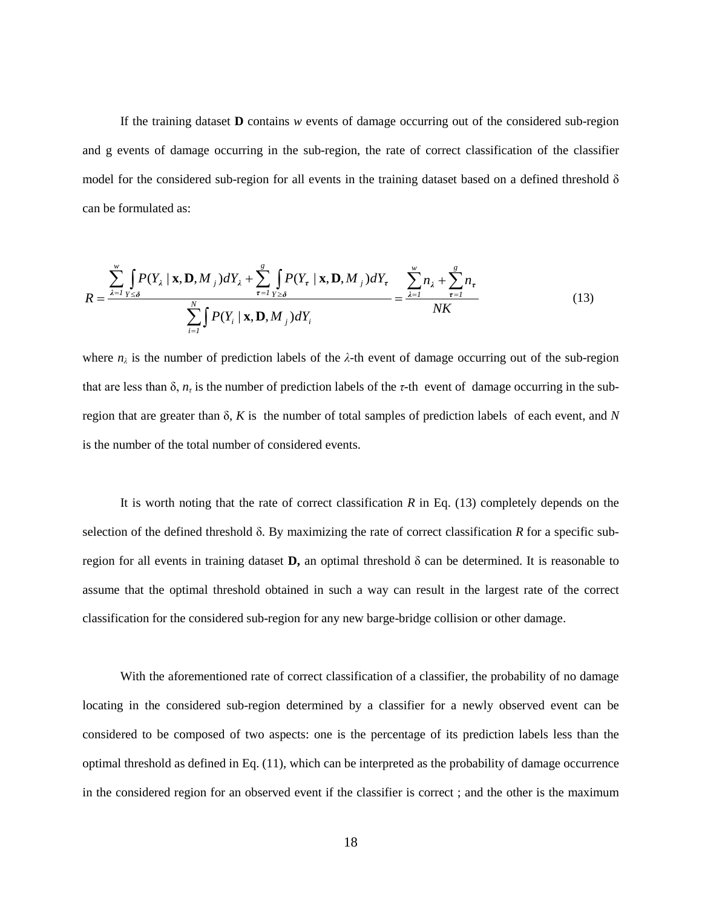If the training dataset **D** contains *w* events of damage occurring out of the considered sub-region and g events of damage occurring in the sub-region, the rate of correct classification of the classifier model for the considered sub-region for all events in the training dataset based on a defined threshold  $\delta$ can be formulated as:

$$
R = \frac{\sum_{\lambda=1}^{w} \int_{Y \leq \delta} P(Y_{\lambda} \mid \mathbf{x}, \mathbf{D}, M_{j}) dY_{\lambda} + \sum_{\tau=1}^{g} \int_{Y \geq \delta} P(Y_{\tau} \mid \mathbf{x}, \mathbf{D}, M_{j}) dY_{\tau}}{\sum_{i=1}^{N} \int_{Y} P(Y_{i} \mid \mathbf{x}, \mathbf{D}, M_{j}) dY_{i}} = \frac{\sum_{\lambda=1}^{w} n_{\lambda} + \sum_{\tau=1}^{g} n_{\tau}}{NK}
$$
(13)

where  $n_{\lambda}$  is the number of prediction labels of the  $\lambda$ -th event of damage occurring out of the sub-region that are less than  $\delta$ ,  $n_{\tau}$  is the number of prediction labels of the *τ*-th event of damage occurring in the subregion that are greater than δ, *K* is the number of total samples of prediction labels of each event, and *N* is the number of the total number of considered events.

It is worth noting that the rate of correct classification *R* in Eq. (13) completely depends on the selection of the defined threshold δ. By maximizing the rate of correct classification *R* for a specific subregion for all events in training dataset **D**, an optimal threshold  $\delta$  can be determined. It is reasonable to assume that the optimal threshold obtained in such a way can result in the largest rate of the correct classification for the considered sub-region for any new barge-bridge collision or other damage.

With the aforementioned rate of correct classification of a classifier, the probability of no damage locating in the considered sub-region determined by a classifier for a newly observed event can be considered to be composed of two aspects: one is the percentage of its prediction labels less than the optimal threshold as defined in Eq. (11), which can be interpreted as the probability of damage occurrence in the considered region for an observed event if the classifier is correct ; and the other is the maximum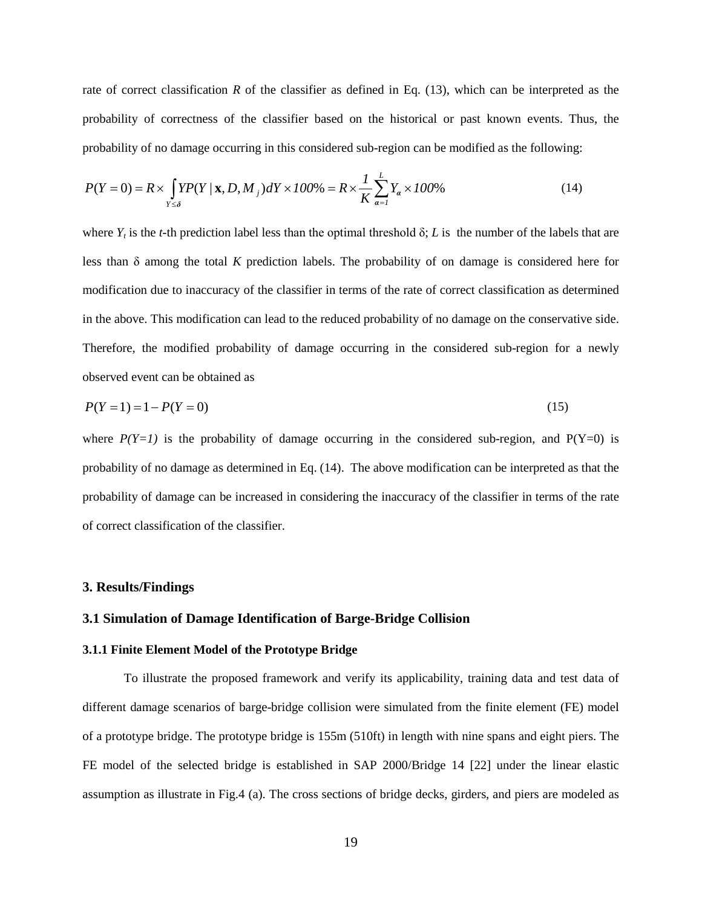rate of correct classification *R* of the classifier as defined in Eq. (13), which can be interpreted as the probability of correctness of the classifier based on the historical or past known events. Thus, the probability of no damage occurring in this considered sub-region can be modified as the following:

$$
P(Y=0) = R \times \int_{Y \le \delta} Y P(Y \mid \mathbf{x}, D, M_j) dY \times 100\% = R \times \frac{1}{K} \sum_{\alpha=1}^{L} Y_{\alpha} \times 100\%
$$
(14)

where  $Y_t$  is the *t*-th prediction label less than the optimal threshold  $\delta$ ; *L* is the number of the labels that are less than δ among the total *K* prediction labels. The probability of on damage is considered here for modification due to inaccuracy of the classifier in terms of the rate of correct classification as determined in the above. This modification can lead to the reduced probability of no damage on the conservative side. Therefore, the modified probability of damage occurring in the considered sub-region for a newly observed event can be obtained as

$$
P(Y=1) = 1 - P(Y=0) \tag{15}
$$

where  $P(Y=1)$  is the probability of damage occurring in the considered sub-region, and  $P(Y=0)$  is probability of no damage as determined in Eq. (14). The above modification can be interpreted as that the probability of damage can be increased in considering the inaccuracy of the classifier in terms of the rate of correct classification of the classifier.

# **3. Results/Findings**

# **3.1 Simulation of Damage Identification of Barge-Bridge Collision**

# **3.1.1 Finite Element Model of the Prototype Bridge**

To illustrate the proposed framework and verify its applicability, training data and test data of different damage scenarios of barge-bridge collision were simulated from the finite element (FE) model of a prototype bridge. The prototype bridge is 155m (510ft) in length with nine spans and eight piers. The FE model of the selected bridge is established in SAP 2000/Bridge 14 [22] under the linear elastic assumption as illustrate in Fig.4 (a). The cross sections of bridge decks, girders, and piers are modeled as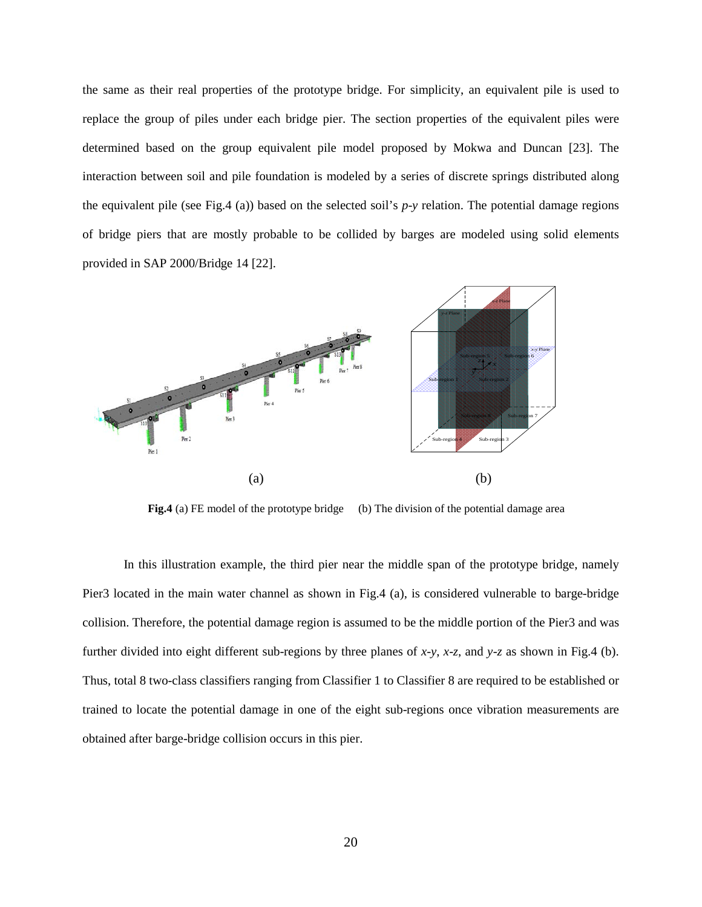the same as their real properties of the prototype bridge. For simplicity, an equivalent pile is used to replace the group of piles under each bridge pier. The section properties of the equivalent piles were determined based on the group equivalent pile model proposed by Mokwa and Duncan [23]. The interaction between soil and pile foundation is modeled by a series of discrete springs distributed along the equivalent pile (see Fig.4 (a)) based on the selected soil's *p*-*y* relation. The potential damage regions of bridge piers that are mostly probable to be collided by barges are modeled using solid elements provided in SAP 2000/Bridge 14 [22].

![](_page_19_Figure_1.jpeg)

**Fig.4** (a) FE model of the prototype bridge (b) The division of the potential damage area

In this illustration example, the third pier near the middle span of the prototype bridge, namely Pier3 located in the main water channel as shown in Fig.4 (a), is considered vulnerable to barge-bridge collision. Therefore, the potential damage region is assumed to be the middle portion of the Pier3 and was further divided into eight different sub-regions by three planes of *x*-*y*, *x*-*z*, and *y*-*z* as shown in Fig.4 (b). Thus, total 8 two-class classifiers ranging from Classifier 1 to Classifier 8 are required to be established or trained to locate the potential damage in one of the eight sub-regions once vibration measurements are obtained after barge-bridge collision occurs in this pier.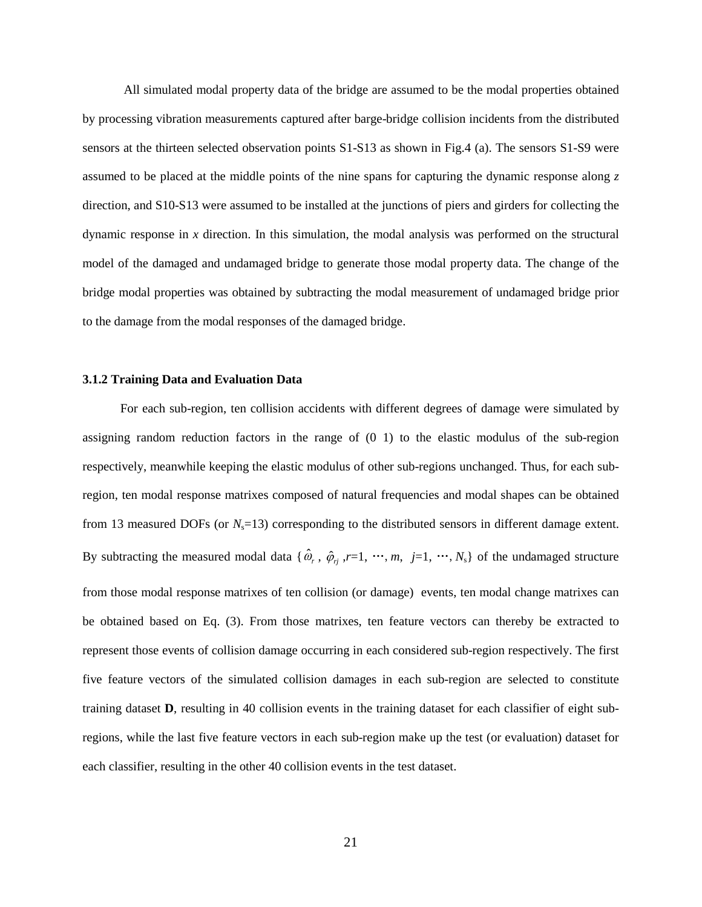All simulated modal property data of the bridge are assumed to be the modal properties obtained by processing vibration measurements captured after barge-bridge collision incidents from the distributed sensors at the thirteen selected observation points S1-S13 as shown in Fig.4 (a). The sensors S1-S9 were assumed to be placed at the middle points of the nine spans for capturing the dynamic response along *z* direction, and S10-S13 were assumed to be installed at the junctions of piers and girders for collecting the dynamic response in *x* direction. In this simulation, the modal analysis was performed on the structural model of the damaged and undamaged bridge to generate those modal property data. The change of the bridge modal properties was obtained by subtracting the modal measurement of undamaged bridge prior to the damage from the modal responses of the damaged bridge.

#### **3.1.2 Training Data and Evaluation Data**

For each sub-region, ten collision accidents with different degrees of damage were simulated by assigning random reduction factors in the range of (0 1) to the elastic modulus of the sub-region respectively, meanwhile keeping the elastic modulus of other sub-regions unchanged. Thus, for each subregion, ten modal response matrixes composed of natural frequencies and modal shapes can be obtained from 13 measured DOFs (or  $N_s$ =13) corresponding to the distributed sensors in different damage extent. By subtracting the measured modal data { $\hat{\omega}_r$ ,  $\hat{\varphi}_{rj}$ ,  $r=1$ ,  $\cdots$ ,  $m$ ,  $j=1$ ,  $\cdots$ ,  $N_s$ } of the undamaged structure from those modal response matrixes of ten collision (or damage) events, ten modal change matrixes can be obtained based on Eq. (3). From those matrixes, ten feature vectors can thereby be extracted to represent those events of collision damage occurring in each considered sub-region respectively. The first five feature vectors of the simulated collision damages in each sub-region are selected to constitute training dataset **D**, resulting in 40 collision events in the training dataset for each classifier of eight subregions, while the last five feature vectors in each sub-region make up the test (or evaluation) dataset for each classifier, resulting in the other 40 collision events in the test dataset.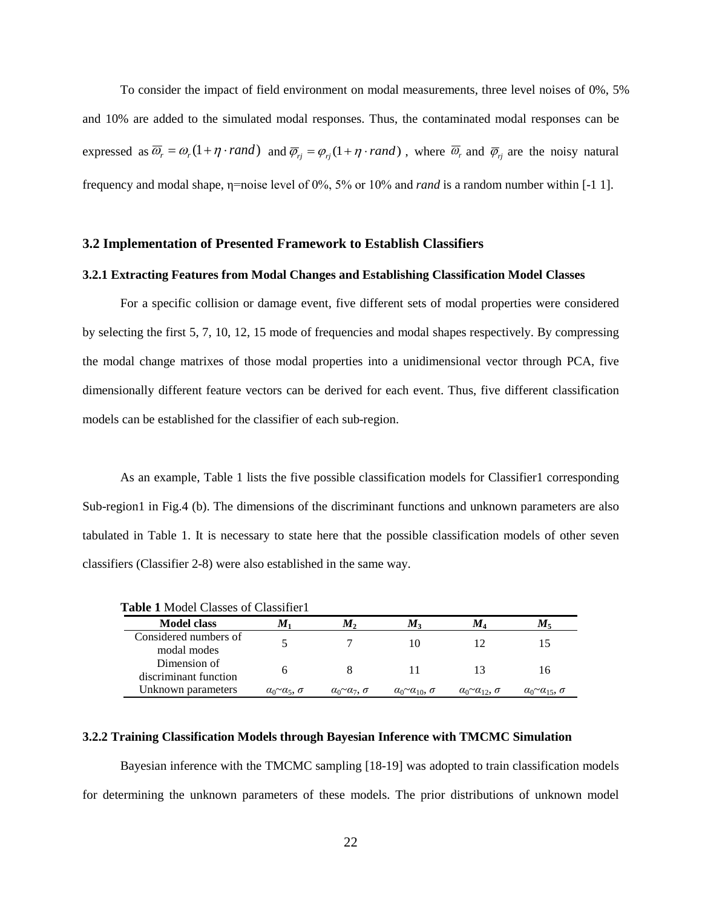To consider the impact of field environment on modal measurements, three level noises of 0%, 5% and 10% are added to the simulated modal responses. Thus, the contaminated modal responses can be expressed as  $\overline{\omega}_r = \omega_r (1 + \eta \cdot rand)$  and  $\overline{\varphi}_{rj} = \varphi_{rj} (1 + \eta \cdot rand)$ , where  $\overline{\omega}_r$  and  $\overline{\varphi}_{rj}$  are the noisy natural frequency and modal shape, η=noise level of 0%, 5% or 10% and *rand* is a random number within [-1 1].

#### **3.2 Implementation of Presented Framework to Establish Classifiers**

#### **3.2.1 Extracting Features from Modal Changes and Establishing Classification Model Classes**

For a specific collision or damage event, five different sets of modal properties were considered by selecting the first 5, 7, 10, 12, 15 mode of frequencies and modal shapes respectively. By compressing the modal change matrixes of those modal properties into a unidimensional vector through PCA, five dimensionally different feature vectors can be derived for each event. Thus, five different classification models can be established for the classifier of each sub-region.

As an example, Table 1 lists the five possible classification models for Classifier1 corresponding Sub-region1 in Fig.4 (b). The dimensions of the discriminant functions and unknown parameters are also tabulated in Table 1. It is necessary to state here that the possible classification models of other seven classifiers (Classifier 2-8) were also established in the same way.

| <b>Model class</b>                    | м.                                  | $M_{2}$                   | $M_3$                                  | M4                        | $M$ =                               |
|---------------------------------------|-------------------------------------|---------------------------|----------------------------------------|---------------------------|-------------------------------------|
| Considered numbers of<br>modal modes  |                                     |                           |                                        |                           |                                     |
| Dimension of<br>discriminant function |                                     |                           |                                        |                           | 16                                  |
| Unknown parameters                    | $\alpha_0 \sim \alpha_5$ , $\sigma$ | $a_0 \sim a_7$ , $\sigma$ | $\alpha_0 \sim \alpha_{10}$ , $\sigma$ | $a_0 \sim a_{12}, \sigma$ | $\alpha_0 \sim \alpha_{15}, \sigma$ |

## **3.2.2 Training Classification Models through Bayesian Inference with TMCMC Simulation**

Bayesian inference with the TMCMC sampling [18-19] was adopted to train classification models for determining the unknown parameters of these models. The prior distributions of unknown model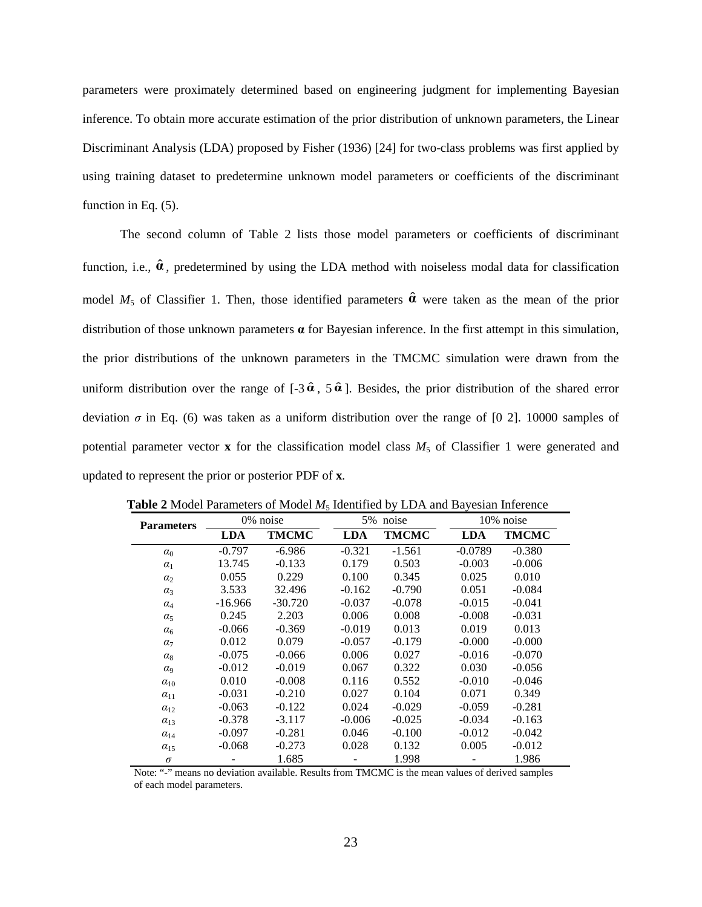parameters were proximately determined based on engineering judgment for implementing Bayesian inference. To obtain more accurate estimation of the prior distribution of unknown parameters, the Linear Discriminant Analysis (LDA) proposed by Fisher (1936) [24] for two-class problems was first applied by using training dataset to predetermine unknown model parameters or coefficients of the discriminant function in Eq. (5).

The second column of Table 2 lists those model parameters or coefficients of discriminant function, i.e.,  $\hat{\boldsymbol{a}}$ , predetermined by using the LDA method with noiseless modal data for classification model  $M_5$  of Classifier 1. Then, those identified parameters  $\hat{\boldsymbol{a}}$  were taken as the mean of the prior distribution of those unknown parameters **α** for Bayesian inference. In the first attempt in this simulation, the prior distributions of the unknown parameters in the TMCMC simulation were drawn from the uniform distribution over the range of  $[-3 \hat{\alpha}, 5 \hat{\alpha}]$ . Besides, the prior distribution of the shared error deviation  $\sigma$  in Eq. (6) was taken as a uniform distribution over the range of [0 2]. 10000 samples of potential parameter vector  $x$  for the classification model class  $M_5$  of Classifier 1 were generated and updated to represent the prior or posterior PDF of **x**.

| <b>Parameters</b>     |            | 0% noise     |            | 5% noise     |            | 10% noise    |  |  |
|-----------------------|------------|--------------|------------|--------------|------------|--------------|--|--|
|                       | <b>LDA</b> | <b>TMCMC</b> | <b>LDA</b> | <b>TMCMC</b> | <b>LDA</b> | <b>TMCMC</b> |  |  |
| $\alpha_0$            | $-0.797$   | $-6.986$     | $-0.321$   | $-1.561$     | $-0.0789$  | $-0.380$     |  |  |
| $\alpha_1$            | 13.745     | $-0.133$     | 0.179      | 0.503        | $-0.003$   | $-0.006$     |  |  |
| $\alpha_2$            | 0.055      | 0.229        | 0.100      | 0.345        | 0.025      | 0.010        |  |  |
| $\alpha_3$            | 3.533      | 32.496       | $-0.162$   | $-0.790$     | 0.051      | $-0.084$     |  |  |
| $\alpha_4$            | $-16.966$  | $-30.720$    | $-0.037$   | $-0.078$     | $-0.015$   | $-0.041$     |  |  |
| $\alpha_5$            | 0.245      | 2.203        | 0.006      | 0.008        | $-0.008$   | $-0.031$     |  |  |
| $\alpha_6$            | $-0.066$   | $-0.369$     | $-0.019$   | 0.013        | 0.019      | 0.013        |  |  |
| $\alpha$ <sub>7</sub> | 0.012      | 0.079        | $-0.057$   | $-0.179$     | $-0.000$   | $-0.000$     |  |  |
| $\alpha_8$            | $-0.075$   | $-0.066$     | 0.006      | 0.027        | $-0.016$   | $-0.070$     |  |  |
| $\alpha$ <sup>o</sup> | $-0.012$   | $-0.019$     | 0.067      | 0.322        | 0.030      | $-0.056$     |  |  |
| $\alpha_{10}$         | 0.010      | $-0.008$     | 0.116      | 0.552        | $-0.010$   | $-0.046$     |  |  |
| $\alpha_{11}$         | $-0.031$   | $-0.210$     | 0.027      | 0.104        | 0.071      | 0.349        |  |  |
| $\alpha_{12}$         | $-0.063$   | $-0.122$     | 0.024      | $-0.029$     | $-0.059$   | $-0.281$     |  |  |
| $\alpha_{13}$         | $-0.378$   | $-3.117$     | $-0.006$   | $-0.025$     | $-0.034$   | $-0.163$     |  |  |
| $\alpha_{14}$         | $-0.097$   | $-0.281$     | 0.046      | $-0.100$     | $-0.012$   | $-0.042$     |  |  |
| $\alpha_{15}$         | $-0.068$   | $-0.273$     | 0.028      | 0.132        | 0.005      | $-0.012$     |  |  |
| $\sigma$              |            | 1.685        |            | 1.998        |            | 1.986        |  |  |

**Table 2** Model Parameters of Model  $M_5$  Identified by LDA and Bayesian Inference

Note: "-" means no deviation available. Results from TMCMC is the mean values of derived samples of each model parameters.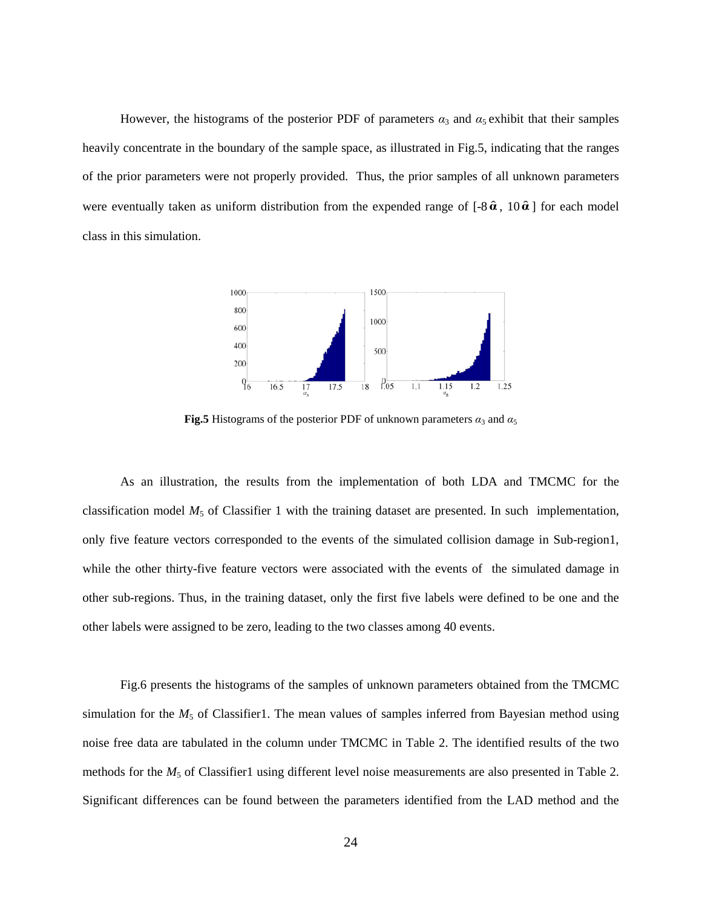However, the histograms of the posterior PDF of parameters  $\alpha_3$  and  $\alpha_5$  exhibit that their samples heavily concentrate in the boundary of the sample space, as illustrated in Fig.5, indicating that the ranges of the prior parameters were not properly provided. Thus, the prior samples of all unknown parameters were eventually taken as uniform distribution from the expended range of  $[-8\hat{a}, 10\hat{a}]$  for each model class in this simulation.

![](_page_23_Figure_1.jpeg)

**Fig.5** Histograms of the posterior PDF of unknown parameters  $\alpha_3$  and  $\alpha_5$ 

As an illustration, the results from the implementation of both LDA and TMCMC for the classification model  $M_5$  of Classifier 1 with the training dataset are presented. In such implementation, only five feature vectors corresponded to the events of the simulated collision damage in Sub-region1, while the other thirty-five feature vectors were associated with the events of the simulated damage in other sub-regions. Thus, in the training dataset, only the first five labels were defined to be one and the other labels were assigned to be zero, leading to the two classes among 40 events.

Fig.6 presents the histograms of the samples of unknown parameters obtained from the TMCMC simulation for the  $M_5$  of Classifier1. The mean values of samples inferred from Bayesian method using noise free data are tabulated in the column under TMCMC in Table 2. The identified results of the two methods for the  $M_5$  of Classifier1 using different level noise measurements are also presented in Table 2. Significant differences can be found between the parameters identified from the LAD method and the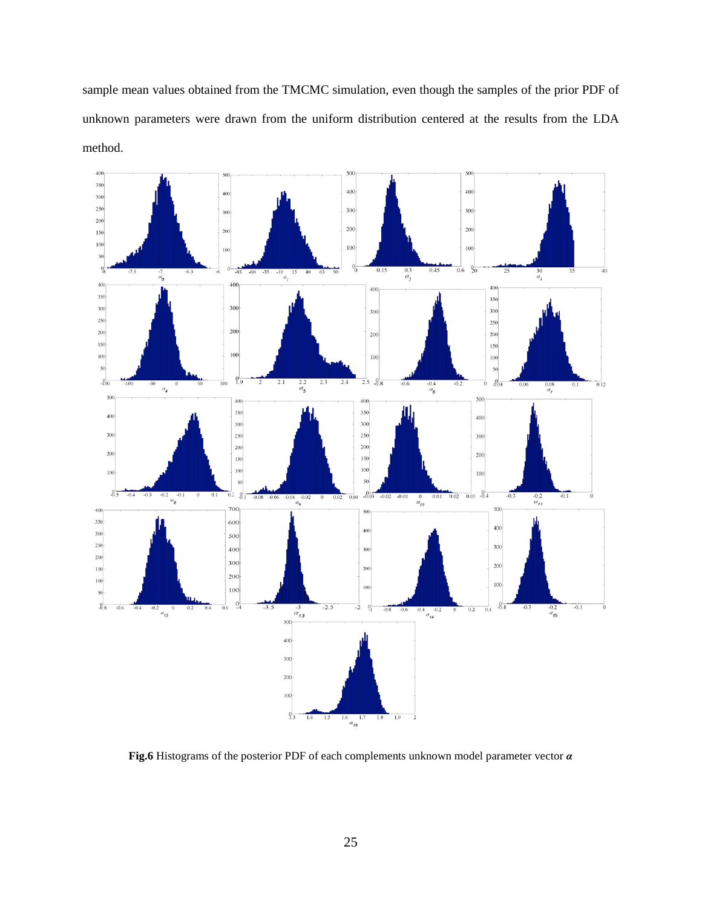sample mean values obtained from the TMCMC simulation, even though the samples of the prior PDF of unknown parameters were drawn from the uniform distribution centered at the results from the LDA method.

![](_page_24_Figure_1.jpeg)

**Fig.6** Histograms of the posterior PDF of each complements unknown model parameter vector *α*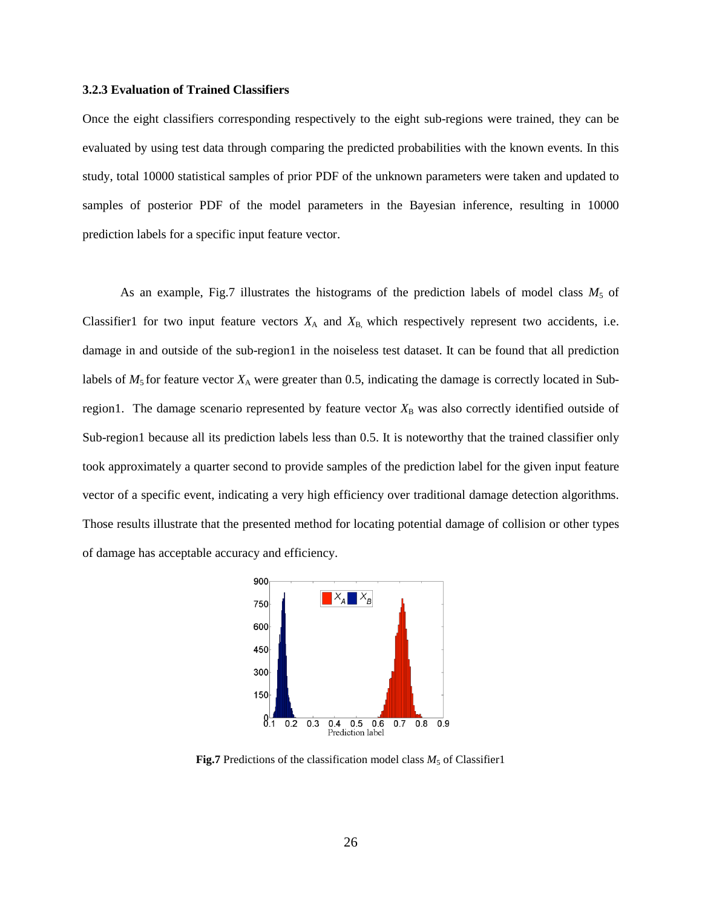#### **3.2.3 Evaluation of Trained Classifiers**

Once the eight classifiers corresponding respectively to the eight sub-regions were trained, they can be evaluated by using test data through comparing the predicted probabilities with the known events. In this study, total 10000 statistical samples of prior PDF of the unknown parameters were taken and updated to samples of posterior PDF of the model parameters in the Bayesian inference, resulting in 10000 prediction labels for a specific input feature vector.

As an example, Fig.7 illustrates the histograms of the prediction labels of model class  $M_5$  of Classifier1 for two input feature vectors  $X_A$  and  $X_B$ , which respectively represent two accidents, i.e. damage in and outside of the sub-region1 in the noiseless test dataset. It can be found that all prediction labels of  $M_5$  for feature vector  $X_A$  were greater than 0.5, indicating the damage is correctly located in Subregion1. The damage scenario represented by feature vector  $X_B$  was also correctly identified outside of Sub-region1 because all its prediction labels less than 0.5. It is noteworthy that the trained classifier only took approximately a quarter second to provide samples of the prediction label for the given input feature vector of a specific event, indicating a very high efficiency over traditional damage detection algorithms. Those results illustrate that the presented method for locating potential damage of collision or other types of damage has acceptable accuracy and efficiency.

![](_page_25_Figure_3.jpeg)

**Fig.7** Predictions of the classification model class  $M_5$  of Classifier1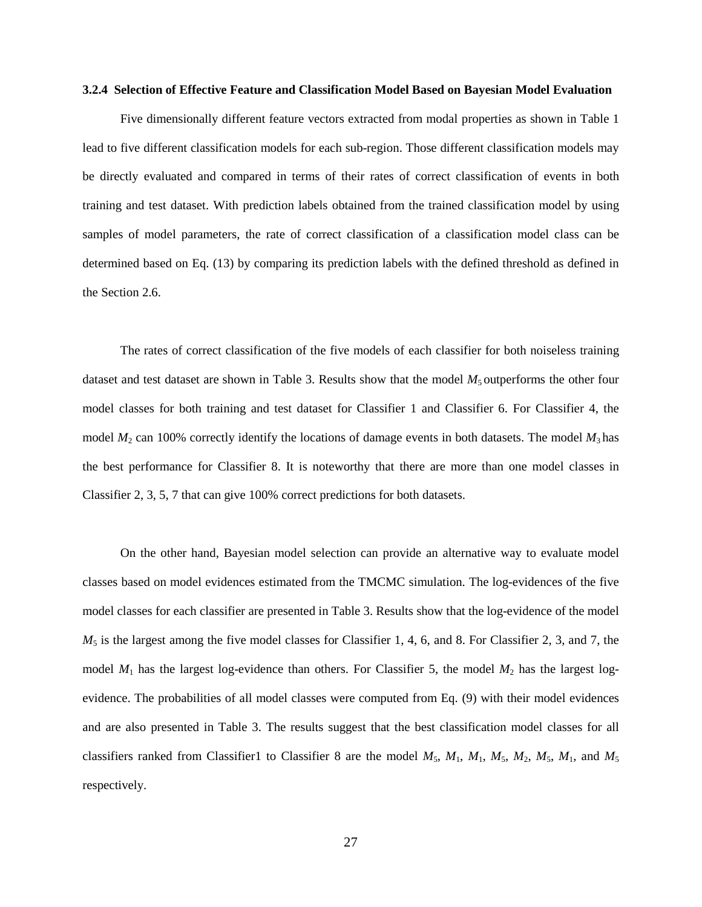#### **3.2.4 Selection of Effective Feature and Classification Model Based on Bayesian Model Evaluation**

Five dimensionally different feature vectors extracted from modal properties as shown in Table 1 lead to five different classification models for each sub-region. Those different classification models may be directly evaluated and compared in terms of their rates of correct classification of events in both training and test dataset. With prediction labels obtained from the trained classification model by using samples of model parameters, the rate of correct classification of a classification model class can be determined based on Eq. (13) by comparing its prediction labels with the defined threshold as defined in the Section 2.6.

The rates of correct classification of the five models of each classifier for both noiseless training dataset and test dataset are shown in Table 3. Results show that the model  $M_5$  outperforms the other four model classes for both training and test dataset for Classifier 1 and Classifier 6. For Classifier 4, the model  $M_2$  can 100% correctly identify the locations of damage events in both datasets. The model  $M_3$  has the best performance for Classifier 8. It is noteworthy that there are more than one model classes in Classifier 2, 3, 5, 7 that can give 100% correct predictions for both datasets.

On the other hand, Bayesian model selection can provide an alternative way to evaluate model classes based on model evidences estimated from the TMCMC simulation. The log-evidences of the five model classes for each classifier are presented in Table 3. Results show that the log-evidence of the model  $M_5$  is the largest among the five model classes for Classifier 1, 4, 6, and 8. For Classifier 2, 3, and 7, the model  $M_1$  has the largest log-evidence than others. For Classifier 5, the model  $M_2$  has the largest logevidence. The probabilities of all model classes were computed from Eq. (9) with their model evidences and are also presented in Table 3. The results suggest that the best classification model classes for all classifiers ranked from Classifier1 to Classifier 8 are the model  $M_5$ ,  $M_1$ ,  $M_5$ ,  $M_2$ ,  $M_5$ ,  $M_1$ , and  $M_5$ respectively.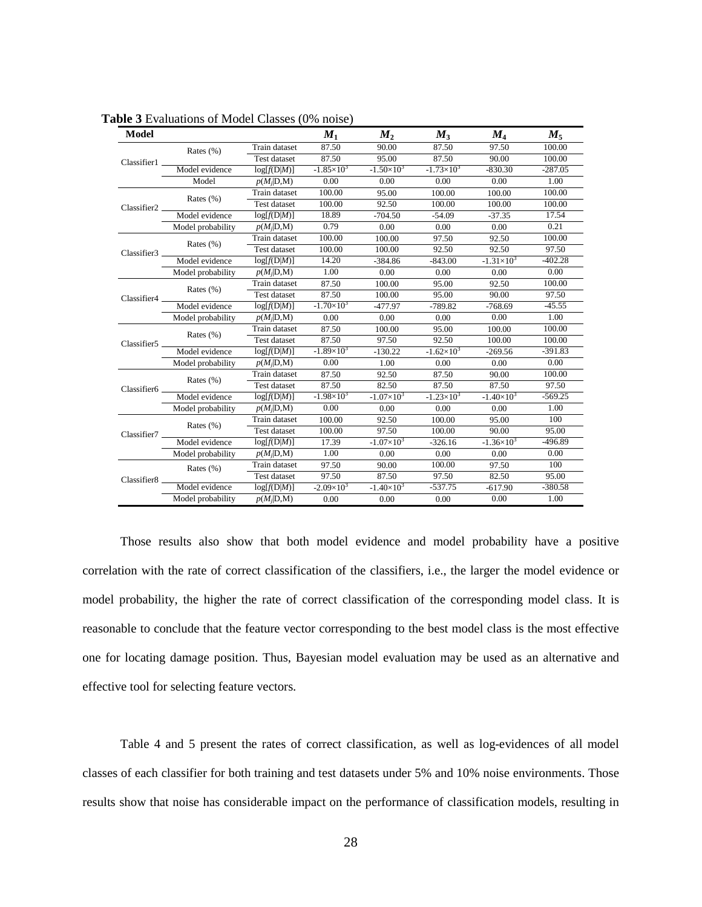| <b>Model</b>            |                   |                     | $M_{1}$               | $M_{2}$             | $M_{3}$             | $M_{4}$             | $M_{5}$   |
|-------------------------|-------------------|---------------------|-----------------------|---------------------|---------------------|---------------------|-----------|
|                         | Rates $(\%)$      | Train dataset       | 87.50                 | 90.00               | 87.50               | 97.50               | 100.00    |
| Classifier1             |                   | Test dataset        | 87.50                 | 95.00               | 87.50               | 90.00               | 100.00    |
|                         | Model evidence    | log[f(D M)]         | $-1.85\times10^{3}$   | $-1.50\times10^{3}$ | $-1.73\times10^{3}$ | $-830.30$           | $-287.05$ |
|                         | Model             | $p(M_i D,M)$        | 0.00                  | 0.00                | 0.00                | 0.00                | 1.00      |
| Classifier <sub>2</sub> |                   | Train dataset       | 100.00                | 95.00               | 100.00              | 100.00              | 100.00    |
|                         | Rates $(\%)$      | <b>Test dataset</b> | 100.00                | 92.50               | 100.00              | 100.00              | 100.00    |
|                         | Model evidence    | log[f(D M)]         | 18.89                 | $-704.50$           | $-54.09$            | $-37.35$            | 17.54     |
|                         | Model probability | $p(M_i D,M)$        | 0.79                  | 0.00                | 0.00                | 0.00                | 0.21      |
|                         | Rates $(\%)$      | Train dataset       | 100.00                | 100.00              | 97.50               | 92.50               | 100.00    |
| Classifier3             |                   | <b>Test dataset</b> | 100.00                | 100.00              | 92.50               | 92.50               | 97.50     |
|                         | Model evidence    | log[f(D M)]         | 14.20                 | $-384.86$           | $-843.00$           | $-1.31\times10^{3}$ | $-402.28$ |
|                         | Model probability | $p(M_i D,M)$        | 1.00                  | 0.00                | 0.00                | 0.00                | 0.00      |
|                         | Rates $(\%)$      | Train dataset       | 87.50                 | 100.00              | 95.00               | 92.50               | 100.00    |
| Classifier4             |                   | Test dataset        | 87.50                 | 100.00              | 95.00               | 90.00               | 97.50     |
|                         | Model evidence    | log[f(D M)]         | $-1.70\times10^{3}$   | $-477.97$           | $-789.82$           | $-768.69$           | $-45.55$  |
|                         | Model probability | $p(M_i D,M)$        | 0.00                  | 0.00                | 0.00                | 0.00                | 1.00      |
|                         | Rates (%)         | Train dataset       | 87.50                 | 100.00              | 95.00               | 100.00              | 100.00    |
| Classifier5             |                   | Test dataset        | 87.50                 | 97.50               | 92.50               | 100.00              | 100.00    |
|                         | Model evidence    | log[f(D M)]         | $-1.89\times10^{3}$   | $-130.22$           | $-1.62\times10^{3}$ | $-269.56$           | $-391.83$ |
|                         | Model probability | $p(M_i D,M)$        | 0.00                  | 1.00                | 0.00                | 0.00                | 0.00      |
|                         | Rates $(\%)$      | Train dataset       | 87.50                 | 92.50               | 87.50               | 90.00               | 100.00    |
| Classifier6             |                   | <b>Test dataset</b> | 87.50                 | 82.50               | 87.50               | 87.50               | 97.50     |
|                         | Model evidence    | log[f(D M)]         | $-1.98\times10^{3}$   | $-1.07\times10^{3}$ | $-1.23\times10^{3}$ | $-1.40\times10^{3}$ | $-569.25$ |
|                         | Model probability | $p(M_i D,M)$        | 0.00                  | 0.00                | 0.00                | 0.00                | 1.00      |
|                         | Rates $(\%)$      | Train dataset       | 100.00                | 92.50               | 100.00              | 95.00               | 100       |
| Classifier <sub>7</sub> |                   | Test dataset        | 100.00                | 97.50               | 100.00              | 90.00               | 95.00     |
|                         | Model evidence    | log[f(D M)]         | 17.39                 | $-1.07\times10^{3}$ | $-326.16$           | $-1.36\times10^{3}$ | $-496.89$ |
|                         | Model probability | $p(M_i D,M)$        | 1.00                  | 0.00                | 0.00                | 0.00                | 0.00      |
|                         | Rates $(\%)$      | Train dataset       | 97.50                 | 90.00               | 100.00              | 97.50               | 100       |
| Classifier8             |                   | <b>Test dataset</b> | 97.50                 | 87.50               | 97.50               | 82.50               | 95.00     |
|                         | Model evidence    | log[f(D M)]         | $-2.09 \times 10^{3}$ | $-1.40\times10^{3}$ | $-537.75$           | $-617.90$           | $-380.58$ |
|                         | Model probability | $p(M_i D,M)$        | 0.00                  | 0.00                | 0.00                | 0.00                | 1.00      |

**Table 3** Evaluations of Model Classes (0% noise)

Those results also show that both model evidence and model probability have a positive correlation with the rate of correct classification of the classifiers, i.e., the larger the model evidence or model probability, the higher the rate of correct classification of the corresponding model class. It is reasonable to conclude that the feature vector corresponding to the best model class is the most effective one for locating damage position. Thus, Bayesian model evaluation may be used as an alternative and effective tool for selecting feature vectors.

Table 4 and 5 present the rates of correct classification, as well as log-evidences of all model classes of each classifier for both training and test datasets under 5% and 10% noise environments. Those results show that noise has considerable impact on the performance of classification models, resulting in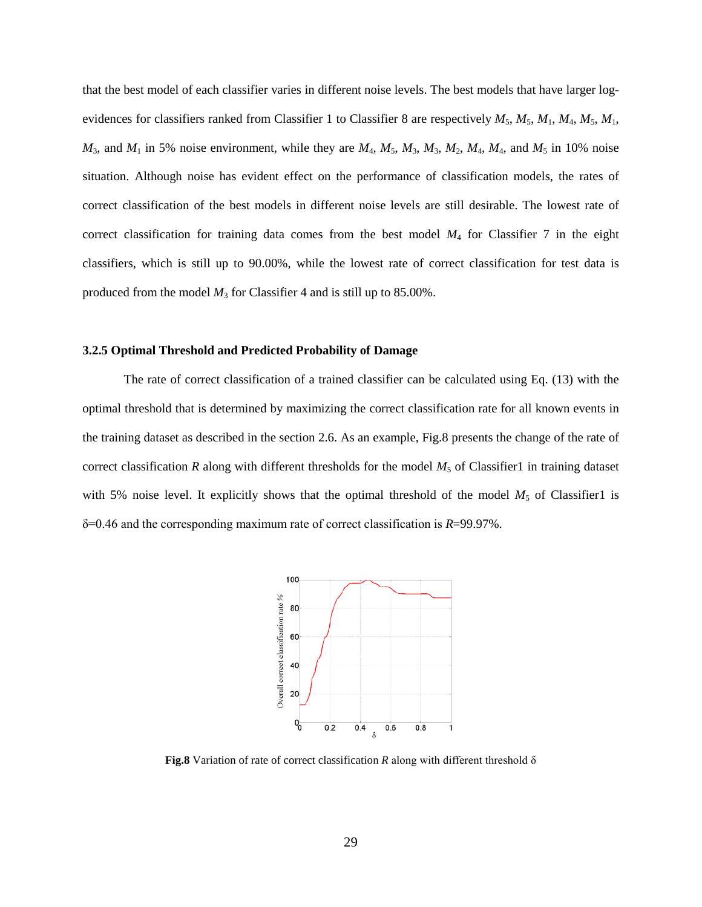that the best model of each classifier varies in different noise levels. The best models that have larger logevidences for classifiers ranked from Classifier 1 to Classifier 8 are respectively  $M_5$ ,  $M_5$ ,  $M_1$ ,  $M_4$ ,  $M_5$ ,  $M_1$ ,  $M_3$ , and  $M_1$  in 5% noise environment, while they are  $M_4$ ,  $M_5$ ,  $M_3$ ,  $M_2$ ,  $M_4$ ,  $M_4$ , and  $M_5$  in 10% noise situation. Although noise has evident effect on the performance of classification models, the rates of correct classification of the best models in different noise levels are still desirable. The lowest rate of correct classification for training data comes from the best model *M*<sup>4</sup> for Classifier 7 in the eight classifiers, which is still up to 90.00%, while the lowest rate of correct classification for test data is produced from the model *M*<sup>3</sup> for Classifier 4 and is still up to 85.00%.

#### **3.2.5 Optimal Threshold and Predicted Probability of Damage**

The rate of correct classification of a trained classifier can be calculated using Eq. (13) with the optimal threshold that is determined by maximizing the correct classification rate for all known events in the training dataset as described in the section 2.6. As an example, Fig.8 presents the change of the rate of correct classification  $R$  along with different thresholds for the model  $M_5$  of Classifier1 in training dataset with 5% noise level. It explicitly shows that the optimal threshold of the model  $M_5$  of Classifier1 is δ=0.46 and the corresponding maximum rate of correct classification is *R*=99.97%.

![](_page_28_Figure_3.jpeg)

**Fig.8** Variation of rate of correct classification *R* along with different threshold δ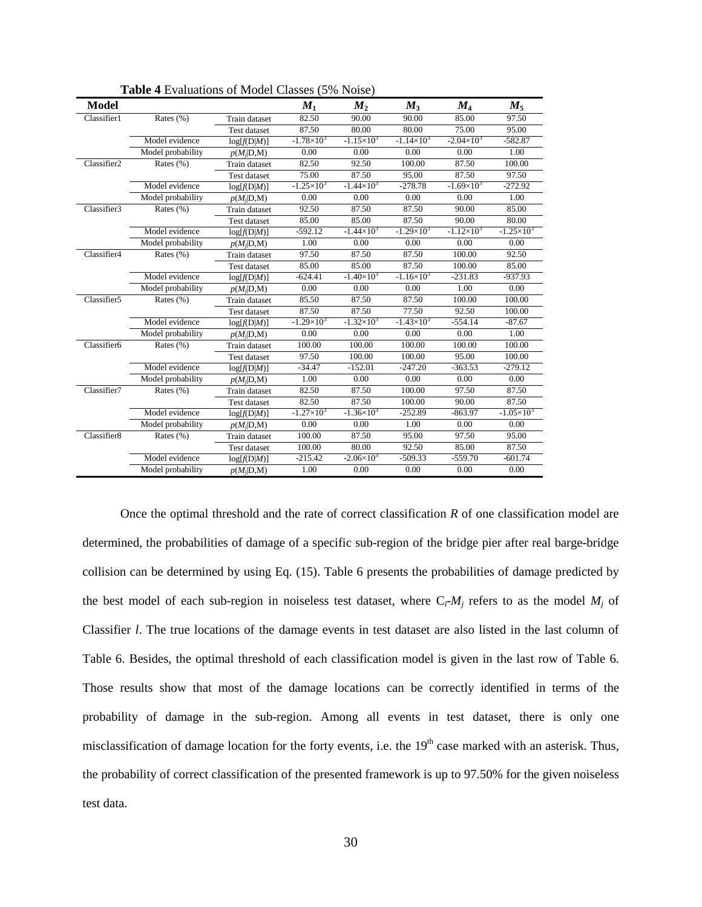| <b>Model</b>            |                   |                     | $M_1$               | $M_{2}$             | $M_3$               | $M_{4}$             | $M_{5}$             |
|-------------------------|-------------------|---------------------|---------------------|---------------------|---------------------|---------------------|---------------------|
| Classifier1             | Rates $(\%)$      | Train dataset       | 82.50               | 90.00               | 90.00               | 85.00               | 97.50               |
|                         |                   | <b>Test dataset</b> | 87.50               | 80.00               | 80.00               | 75.00               | 95.00               |
|                         | Model evidence    | log[f(D M)]         | $-1.78 \times 10^3$ | $-1.15\times10^{3}$ | $-1.14 \times 10^3$ | $-2.04 \times 10^3$ | $-582.87$           |
|                         | Model probability | $p(M_i D,M)$        | 0.00                | 0.00                | 0.00                | 0.00                | 1.00                |
| Classifier <sub>2</sub> | Rates $(\%)$      | Train dataset       | 82.50               | 92.50               | 100.00              | 87.50               | 100.00              |
|                         |                   | Test dataset        | 75.00               | 87.50               | 95.00               | 87.50               | 97.50               |
|                         | Model evidence    | log[f(D M)]         | $-1.25\times10^{3}$ | $-1.44\times10^{3}$ | $-278.78$           | $-1.69\times10^{3}$ | $-272.92$           |
|                         | Model probability | $p(M_i D,M)$        | 0.00                | 0.00                | 0.00                | 0.00                | 1.00                |
| Classifier3             | Rates $(\%)$      | Train dataset       | 92.50               | 87.50               | 87.50               | 90.00               | 85.00               |
|                         |                   | <b>Test dataset</b> | 85.00               | 85.00               | 87.50               | 90.00               | 80.00               |
|                         | Model evidence    | log[f(D M)]         | $-592.12$           | $-1.44 \times 10^3$ | $-1.29\times10^{3}$ | $-1.12\times10^{3}$ | $-1.25 \times 10^3$ |
|                         | Model probability | $p(M_i D,M)$        | 1.00                | 0.00                | 0.00                | 0.00                | 0.00                |
| Classifier4             | Rates $(\% )$     | Train dataset       | 97.50               | 87.50               | 87.50               | 100.00              | 92.50               |
|                         |                   | Test dataset        | 85.00               | 85.00               | 87.50               | 100.00              | 85.00               |
|                         | Model evidence    | log[f(D M)]         | $-624.41$           | $-1.40\times10^{3}$ | $-1.16\times10^{3}$ | $-231.83$           | $-937.93$           |
|                         | Model probability | $p(M_i D,M)$        | 0.00                | 0.00                | 0.00                | 1.00                | 0.00                |
| Classifier5             | Rates $(\%)$      | Train dataset       | 85.50               | 87.50               | 87.50               | 100.00              | 100.00              |
|                         |                   | <b>Test dataset</b> | 87.50               | 87.50               | 77.50               | 92.50               | 100.00              |
|                         | Model evidence    | log[f(D M)]         | $-1.29\times10^{3}$ | $-1.32\times10^{3}$ | $-1.43\times10^{3}$ | $-554.14$           | $-87.67$            |
|                         | Model probability | $p(M_i D,M)$        | 0.00                | 0.00                | 0.00                | 0.00                | 1.00                |
| Classifier6             | Rates (%)         | Train dataset       | 100.00              | 100.00              | 100.00              | 100.00              | 100.00              |
|                         |                   | <b>Test dataset</b> | 97.50               | 100.00              | 100.00              | 95.00               | 100.00              |
|                         | Model evidence    | log[f(D M)]         | $-34.47$            | $-152.01$           | $-247.20$           | $-363.53$           | $-279.12$           |
|                         | Model probability | $p(M_i D,M)$        | 1.00                | 0.00                | 0.00                | 0.00                | 0.00                |
| Classifier7             | Rates $(\% )$     | Train dataset       | 82.50               | 87.50               | 100.00              | 97.50               | 87.50               |
|                         |                   | <b>Test dataset</b> | 82.50               | 87.50               | 100.00              | 90.00               | 87.50               |
|                         | Model evidence    | log[f(D M)]         | $-1.27\times10^{3}$ | $-1.36\times10^{3}$ | $-252.89$           | $-863.97$           | $-1.05\times10^{3}$ |
|                         | Model probability | $p(M_i D,M)$        | 0.00                | 0.00                | 1.00                | 0.00                | 0.00                |
| Classifier8             | Rates (%)         | Train dataset       | 100.00              | 87.50               | 95.00               | 97.50               | 95.00               |
|                         |                   | <b>Test dataset</b> | 100.00              | 80.00               | 92.50               | 85.00               | 87.50               |
|                         | Model evidence    | log[f(D M)]         | $-215.42$           | $-2.06\times10^{3}$ | $-509.33$           | $-559.70$           | $-601.74$           |
|                         | Model probability | $p(M_i D,M)$        | 1.00                | 0.00                | 0.00                | 0.00                | 0.00                |

**Table 4** Evaluations of Model Classes (5% Noise)

Once the optimal threshold and the rate of correct classification *R* of one classification model are determined, the probabilities of damage of a specific sub-region of the bridge pier after real barge-bridge collision can be determined by using Eq. (15). Table 6 presents the probabilities of damage predicted by the best model of each sub-region in noiseless test dataset, where  $C_l$ - $M_j$  refers to as the model  $M_j$  of Classifier *l*. The true locations of the damage events in test dataset are also listed in the last column of Table 6. Besides, the optimal threshold of each classification model is given in the last row of Table 6. Those results show that most of the damage locations can be correctly identified in terms of the probability of damage in the sub-region. Among all events in test dataset, there is only one misclassification of damage location for the forty events, i.e. the  $19<sup>th</sup>$  case marked with an asterisk. Thus, the probability of correct classification of the presented framework is up to 97.50% for the given noiseless test data.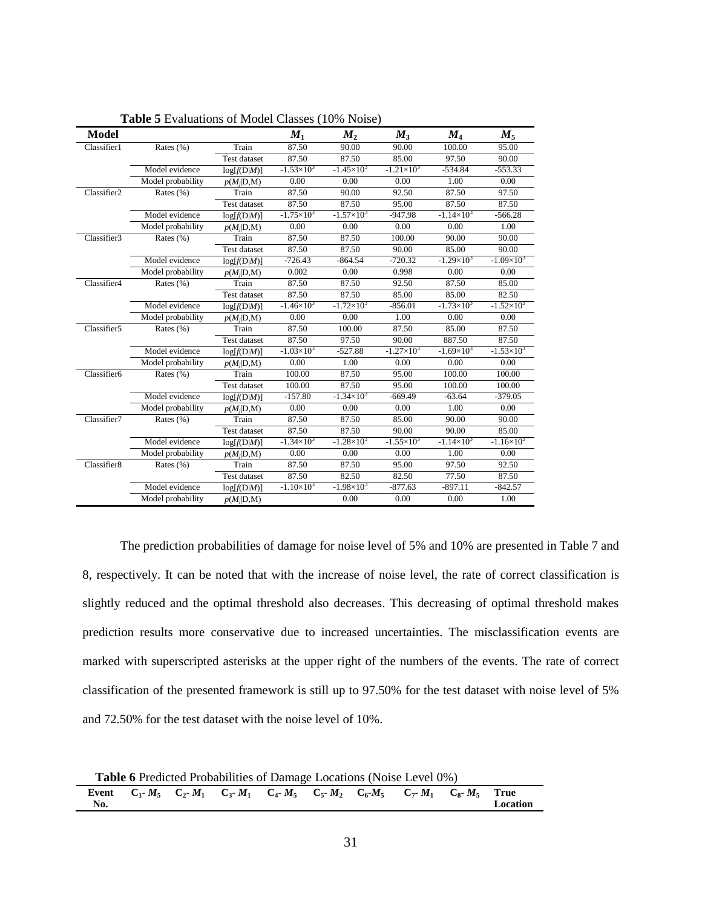| <b>Model</b> |                   |                     | $M_{1}$               | $M_{2}$               | $M_{3}$             | $M_{4}$             | $M_{\rm{5}}$        |
|--------------|-------------------|---------------------|-----------------------|-----------------------|---------------------|---------------------|---------------------|
| Classifier1  | Rates (%)         | Train               | 87.50                 | 90.00                 | 90.00               | 100.00              | 95.00               |
|              |                   | Test dataset        | 87.50                 | 87.50                 | 85.00               | 97.50               | 90.00               |
|              | Model evidence    | log[f(D M)]         | $-1.53\times10^{3}$   | $-1.45\times10^{3}$   | $-1.21\times10^{3}$ | $-534.84$           | $-553.33$           |
|              | Model probability | $p(M_i D,M)$        | 0.00                  | 0.00                  | 0.00                | 1.00                | 0.00                |
| Classifier2  | Rates $(\% )$     | Train               | 87.50                 | 90.00                 | 92.50               | 87.50               | 97.50               |
|              |                   | <b>Test dataset</b> | 87.50                 | 87.50                 | 95.00               | 87.50               | 87.50               |
|              | Model evidence    | log[f(D M)]         | $-1.75\times10^{3}$   | $-1.57\times10^{3}$   | $-947.98$           | $-1.14\times10^{3}$ | $-566.28$           |
|              | Model probability | $p(M_i D,M)$        | 0.00                  | 0.00                  | 0.00                | 0.00                | 1.00                |
| Classifier3  | Rates (%)         | Train               | 87.50                 | 87.50                 | 100.00              | 90.00               | 90.00               |
|              |                   | Test dataset        | 87.50                 | 87.50                 | 90.00               | 85.00               | 90.00               |
|              | Model evidence    | log[f(D M)]         | $-726.43$             | $-864.54$             | $-720.32$           | $-1.29\times10^{3}$ | $-1.09\times10^{3}$ |
|              | Model probability | $p(M_i D,M)$        | 0.002                 | 0.00                  | 0.998               | 0.00                | 0.00                |
| Classifier4  | Rates $(\% )$     | Train               | 87.50                 | 87.50                 | 92.50               | 87.50               | 85.00               |
|              |                   | <b>Test dataset</b> | 87.50                 | 87.50                 | 85.00               | 85.00               | 82.50               |
|              | Model evidence    | log[f(D M)]         | $-1.46 \times 10^{3}$ | $-1.72\times10^{3}$   | $-856.01$           | $-1.73\times10^{3}$ | $-1.52\times10^{3}$ |
|              | Model probability | $p(M_i D,M)$        | 0.00                  | 0.00                  | 1.00                | 0.00                | 0.00                |
| Classifier5  | Rates $(\%)$      | Train               | 87.50                 | 100.00                | 87.50               | 85.00               | 87.50               |
|              |                   | Test dataset        | 87.50                 | 97.50                 | 90.00               | 887.50              | 87.50               |
|              | Model evidence    | log[f(D M)]         | $-1.03\times10^{3}$   | $-527.88$             | $-1.27\times10^{3}$ | $-1.69\times10^{3}$ | $-1.53\times10^{3}$ |
|              | Model probability | $p(M_i D,M)$        | 0.00                  | 1.00                  | 0.00                | 0.00                | 0.00                |
| Classifier6  | Rates $(\% )$     | Train               | 100.00                | 87.50                 | 95.00               | 100.00              | 100.00              |
|              |                   | <b>Test dataset</b> | 100.00                | 87.50                 | 95.00               | 100.00              | 100.00              |
|              | Model evidence    | log[f(D M)]         | $-157.80$             | $-1.34\times10^{3}$   | $-669.49$           | $-63.64$            | $-379.05$           |
|              | Model probability | $p(M_i D,M)$        | 0.00                  | 0.00                  | 0.00                | 1.00                | 0.00                |
| Classifier7  | Rates $(\% )$     | Train               | 87.50                 | 87.50                 | 85.00               | 90.00               | 90.00               |
|              |                   | Test dataset        | 87.50                 | 87.50                 | 90.00               | 90.00               | 85.00               |
|              | Model evidence    | log[f(D M)]         | $-1.34\times10^{3}$   | $-1.28 \times 10^{3}$ | $-1.55\times10^{3}$ | $-1.14\times10^{3}$ | $-1.16 \times 10^3$ |
|              | Model probability | $p(M_i D,M)$        | 0.00                  | 0.00                  | 0.00                | 1.00                | 0.00                |
| Classifier8  | Rates $(\% )$     | Train               | 87.50                 | 87.50                 | 95.00               | 97.50               | 92.50               |
|              |                   | <b>Test dataset</b> | 87.50                 | 82.50                 | 82.50               | 77.50               | 87.50               |
|              | Model evidence    | log[f(D M)]         | $-1.10\times10^{3}$   | $-1.98 \times 10^{3}$ | $-877.63$           | $-897.11$           | $-842.57$           |
|              | Model probability | $p(M_i D,M)$        |                       | 0.00                  | 0.00                | 0.00                | 1.00                |

**Table 5** Evaluations of Model Classes (10% Noise)

The prediction probabilities of damage for noise level of 5% and 10% are presented in Table 7 and 8, respectively. It can be noted that with the increase of noise level, the rate of correct classification is slightly reduced and the optimal threshold also decreases. This decreasing of optimal threshold makes prediction results more conservative due to increased uncertainties. The misclassification events are marked with superscripted asterisks at the upper right of the numbers of the events. The rate of correct classification of the presented framework is still up to 97.50% for the test dataset with noise level of 5% and 72.50% for the test dataset with the noise level of 10%.

**Table 6** Predicted Probabilities of Damage Locations (Noise Level 0%)

| Event | $C_1$ - $M_z$ | $M_1$<br>$C_{2}$ | $C_{3} - M_1$ | $C_4$ - $M_5$ | $C_{5} - M_{2}$<br>÷ | $C_6 M_5$ | $C_{7} - M_1$ | $M_{\rm s}$<br>$C_{8}$ - | <b>True</b> |
|-------|---------------|------------------|---------------|---------------|----------------------|-----------|---------------|--------------------------|-------------|
| No.   |               |                  |               |               |                      |           |               |                          | Location    |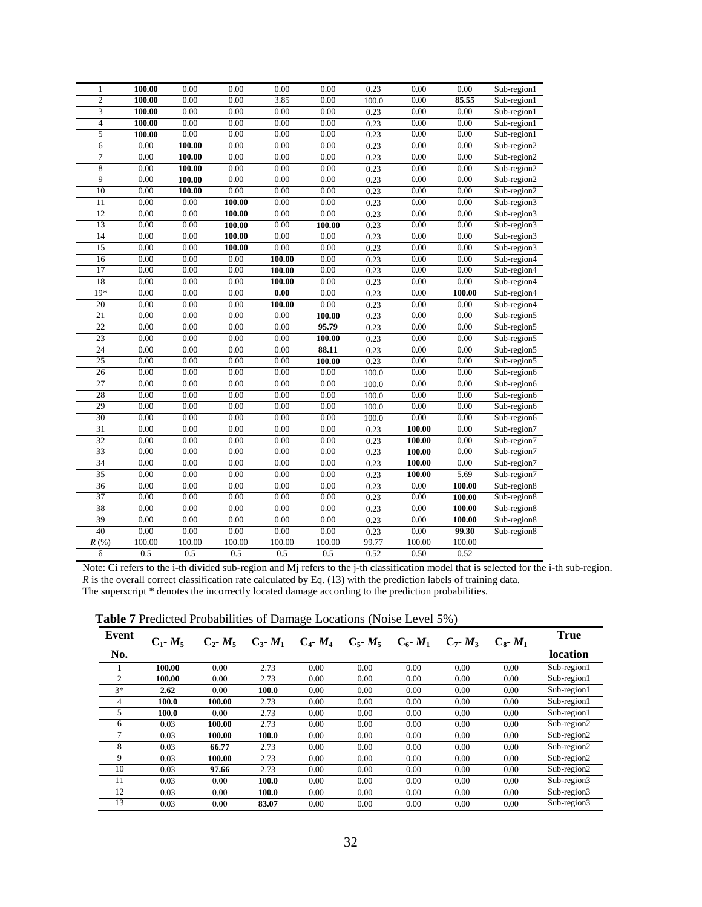| 1                        | 100.00 | 0.00   | 0.00   | 0.00   | 0.00   | 0.23  | $0.00\,$ | 0.00   | Sub-region1 |
|--------------------------|--------|--------|--------|--------|--------|-------|----------|--------|-------------|
| $\overline{2}$           | 100.00 | 0.00   | 0.00   | 3.85   | 0.00   | 100.0 | 0.00     | 85.55  | Sub-region1 |
| 3                        | 100.00 | 0.00   | 0.00   | 0.00   | 0.00   | 0.23  | 0.00     | 0.00   | Sub-region1 |
| $\overline{\mathcal{L}}$ | 100.00 | 0.00   | 0.00   | 0.00   | 0.00   | 0.23  | 0.00     | 0.00   | Sub-region1 |
| 5                        | 100.00 | 0.00   | 0.00   | 0.00   | 0.00   | 0.23  | 0.00     | 0.00   | Sub-region1 |
| 6                        | 0.00   | 100.00 | 0.00   | 0.00   | 0.00   | 0.23  | $0.00\,$ | 0.00   | Sub-region2 |
| 7                        | 0.00   | 100.00 | 0.00   | 0.00   | 0.00   | 0.23  | 0.00     | 0.00   | Sub-region2 |
| 8                        | 0.00   | 100.00 | 0.00   | 0.00   | 0.00   | 0.23  | 0.00     | 0.00   | Sub-region2 |
| 9                        | 0.00   | 100.00 | 0.00   | 0.00   | 0.00   | 0.23  | 0.00     | 0.00   | Sub-region2 |
| 10                       | 0.00   | 100.00 | 0.00   | 0.00   | 0.00   | 0.23  | $0.00\,$ | 0.00   | Sub-region2 |
| 11                       | 0.00   | 0.00   | 100.00 | 0.00   | 0.00   | 0.23  | 0.00     | 0.00   | Sub-region3 |
| 12                       | 0.00   | 0.00   | 100.00 | 0.00   | 0.00   | 0.23  | 0.00     | 0.00   | Sub-region3 |
| 13                       | 0.00   | 0.00   | 100.00 | 0.00   | 100.00 | 0.23  | 0.00     | 0.00   | Sub-region3 |
| 14                       | 0.00   | 0.00   | 100.00 | 0.00   | 0.00   | 0.23  | $0.00\,$ | 0.00   | Sub-region3 |
| 15                       | 0.00   | 0.00   | 100.00 | 0.00   | 0.00   | 0.23  | 0.00     | 0.00   | Sub-region3 |
| 16                       | 0.00   | 0.00   | 0.00   | 100.00 | 0.00   | 0.23  | 0.00     | 0.00   | Sub-region4 |
| 17                       | 0.00   | 0.00   | 0.00   | 100.00 | 0.00   | 0.23  | 0.00     | 0.00   | Sub-region4 |
| 18                       | 0.00   | 0.00   | 0.00   | 100.00 | 0.00   | 0.23  | 0.00     | 0.00   | Sub-region4 |
| $19*$                    | 0.00   | 0.00   | 0.00   | 0.00   | 0.00   | 0.23  | 0.00     | 100.00 | Sub-region4 |
| 20                       | 0.00   | 0.00   | 0.00   | 100.00 | 0.00   | 0.23  | 0.00     | 0.00   | Sub-region4 |
| $\overline{21}$          | 0.00   | 0.00   | 0.00   | 0.00   | 100.00 | 0.23  | 0.00     | 0.00   | Sub-region5 |
| $\overline{22}$          | 0.00   | 0.00   | 0.00   | 0.00   | 95.79  | 0.23  | 0.00     | 0.00   | Sub-region5 |
| 23                       | 0.00   | 0.00   | 0.00   | 0.00   | 100.00 | 0.23  | $0.00\,$ | 0.00   | Sub-region5 |
| $\overline{24}$          | 0.00   | 0.00   | 0.00   | 0.00   | 88.11  | 0.23  | 0.00     | 0.00   | Sub-region5 |
| 25                       | 0.00   | 0.00   | 0.00   | 0.00   | 100.00 | 0.23  | 0.00     | 0.00   | Sub-region5 |
| 26                       | 0.00   | 0.00   | 0.00   | 0.00   | 0.00   | 100.0 | 0.00     | 0.00   | Sub-region6 |
| 27                       | 0.00   | 0.00   | 0.00   | 0.00   | 0.00   | 100.0 | 0.00     | 0.00   | Sub-region6 |
| 28                       | 0.00   | 0.00   | 0.00   | 0.00   | 0.00   | 100.0 | 0.00     | 0.00   | Sub-region6 |
| 29                       | 0.00   | 0.00   | 0.00   | 0.00   | 0.00   | 100.0 | 0.00     | 0.00   | Sub-region6 |
| 30                       | 0.00   | 0.00   | 0.00   | 0.00   | 0.00   | 100.0 | 0.00     | 0.00   | Sub-region6 |
| 31                       | 0.00   | 0.00   | 0.00   | 0.00   | 0.00   | 0.23  | 100.00   | 0.00   | Sub-region7 |
| 32                       | 0.00   | 0.00   | 0.00   | 0.00   | 0.00   | 0.23  | 100.00   | 0.00   | Sub-region7 |
| 33                       | 0.00   | 0.00   | 0.00   | 0.00   | 0.00   | 0.23  | 100.00   | 0.00   | Sub-region7 |
| 34                       | 0.00   | 0.00   | 0.00   | 0.00   | 0.00   | 0.23  | 100.00   | 0.00   | Sub-region7 |
| 35                       | 0.00   | 0.00   | 0.00   | 0.00   | 0.00   | 0.23  | 100.00   | 5.69   | Sub-region7 |
| 36                       | 0.00   | 0.00   | 0.00   | 0.00   | 0.00   | 0.23  | 0.00     | 100.00 | Sub-region8 |
| 37                       | 0.00   | 0.00   | 0.00   | 0.00   | 0.00   | 0.23  | 0.00     | 100.00 | Sub-region8 |
| 38                       | 0.00   | 0.00   | 0.00   | 0.00   | 0.00   | 0.23  | 0.00     | 100.00 | Sub-region8 |
| 39                       | 0.00   | 0.00   | 0.00   | 0.00   | 0.00   | 0.23  | 0.00     | 100.00 | Sub-region8 |
| 40                       | 0.00   | 0.00   | 0.00   | 0.00   | 0.00   | 0.23  | 0.00     | 99.30  | Sub-region8 |
| $\overline{R}$ (%)       | 100.00 | 100.00 | 100.00 | 100.00 | 100.00 | 99.77 | 100.00   | 100.00 |             |
| δ                        | 0.5    | 0.5    | 0.5    | 0.5    | 0.5    | 0.52  | 0.50     | 0.52   |             |

Note: Ci refers to the i-th divided sub-region and Mj refers to the j-th classification model that is selected for the i-th sub-region. *R* is the overall correct classification rate calculated by Eq. (13) with the prediction labels of training data. The superscript \* denotes the incorrectly located damage according to the prediction probabilities.

**Table 7** Predicted Probabilities of Damage Locations (Noise Level 5%)

|                |               |                   |                 | $\circ$       |                   |                 |                   |                 |             |
|----------------|---------------|-------------------|-----------------|---------------|-------------------|-----------------|-------------------|-----------------|-------------|
| Event          | $C_1$ - $M_5$ | $C_{2}$ - $M_{5}$ | $C_{3}$ - $M_1$ | $C_4$ - $M_4$ | $C_{5}$ - $M_{5}$ | $C_{6}$ - $M_1$ | $C_{7}$ - $M_{3}$ | $C_{8}$ - $M_1$ | <b>True</b> |
| No.            |               |                   |                 |               |                   |                 |                   |                 | location    |
|                | 100.00        | 0.00              | 2.73            | 0.00          | 0.00              | 0.00            | 0.00              | 0.00            | Sub-region1 |
| 2              | 100.00        | 0.00              | 2.73            | 0.00          | 0.00              | 0.00            | 0.00              | 0.00            | Sub-region1 |
| $3*$           | 2.62          | 0.00              | 100.0           | 0.00          | 0.00              | 0.00            | 0.00              | 0.00            | Sub-region1 |
| $\overline{4}$ | 100.0         | 100.00            | 2.73            | 0.00          | 0.00              | 0.00            | 0.00              | 0.00            | Sub-region1 |
| 5              | 100.0         | 0.00              | 2.73            | 0.00          | 0.00              | 0.00            | 0.00              | 0.00            | Sub-region1 |
| 6              | 0.03          | 100.00            | 2.73            | 0.00          | 0.00              | 0.00            | 0.00              | 0.00            | Sub-region2 |
| $\overline{7}$ | 0.03          | 100.00            | 100.0           | 0.00          | 0.00              | 0.00            | 0.00              | 0.00            | Sub-region2 |
| 8              | 0.03          | 66.77             | 2.73            | 0.00          | 0.00              | 0.00            | 0.00              | 0.00            | Sub-region2 |
| 9              | 0.03          | 100.00            | 2.73            | 0.00          | 0.00              | 0.00            | 0.00              | 0.00            | Sub-region2 |
| 10             | 0.03          | 97.66             | 2.73            | 0.00          | 0.00              | 0.00            | 0.00              | 0.00            | Sub-region2 |
| 11             | 0.03          | 0.00              | 100.0           | 0.00          | 0.00              | 0.00            | 0.00              | 0.00            | Sub-region3 |
| 12             | 0.03          | 0.00              | 100.0           | 0.00          | 0.00              | 0.00            | 0.00              | 0.00            | Sub-region3 |
| 13             | 0.03          | 0.00              | 83.07           | 0.00          | 0.00              | 0.00            | 0.00              | 0.00            | Sub-region3 |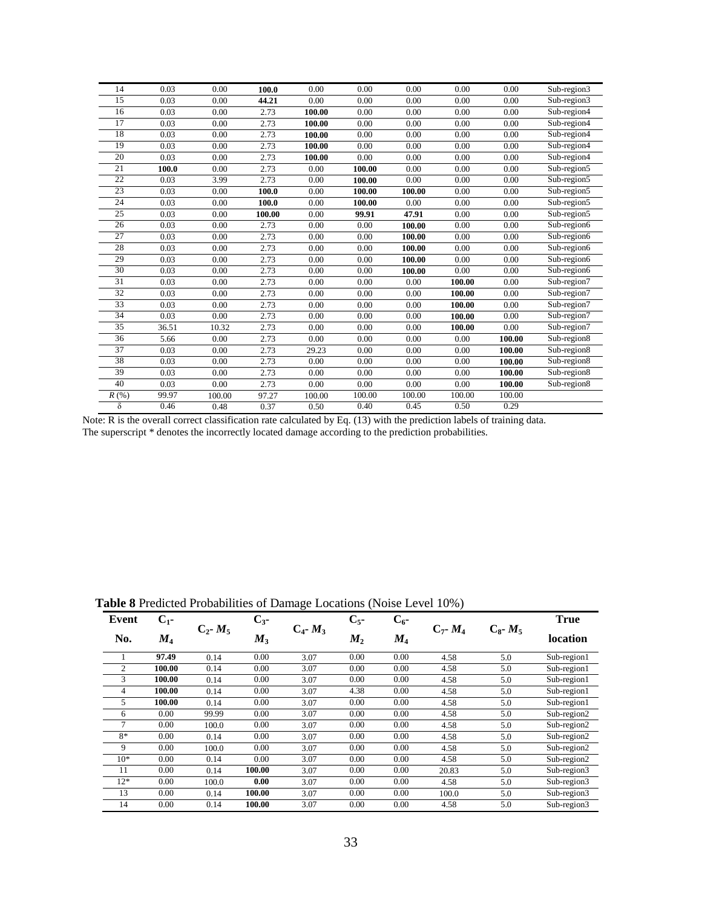| 14       | 0.03  | 0.00   | 100.0  | 0.00   | 0.00   | 0.00   | 0.00   | 0.00   | Sub-region3 |
|----------|-------|--------|--------|--------|--------|--------|--------|--------|-------------|
| 15       | 0.03  | 0.00   | 44.21  | 0.00   | 0.00   | 0.00   | 0.00   | 0.00   | Sub-region3 |
| 16       | 0.03  | 0.00   | 2.73   | 100.00 | 0.00   | 0.00   | 0.00   | 0.00   | Sub-region4 |
| 17       | 0.03  | 0.00   | 2.73   | 100.00 | 0.00   | 0.00   | 0.00   | 0.00   | Sub-region4 |
| 18       | 0.03  | 0.00   | 2.73   | 100.00 | 0.00   | 0.00   | 0.00   | 0.00   | Sub-region4 |
| 19       | 0.03  | 0.00   | 2.73   | 100.00 | 0.00   | 0.00   | 0.00   | 0.00   | Sub-region4 |
| 20       | 0.03  | 0.00   | 2.73   | 100.00 | 0.00   | 0.00   | 0.00   | 0.00   | Sub-region4 |
| 21       | 100.0 | 0.00   | 2.73   | 0.00   | 100.00 | 0.00   | 0.00   | 0.00   | Sub-region5 |
| 22       | 0.03  | 3.99   | 2.73   | 0.00   | 100.00 | 0.00   | 0.00   | 0.00   | Sub-region5 |
| 23       | 0.03  | 0.00   | 100.0  | 0.00   | 100.00 | 100.00 | 0.00   | 0.00   | Sub-region5 |
| 24       | 0.03  | 0.00   | 100.0  | 0.00   | 100.00 | 0.00   | 0.00   | 0.00   | Sub-region5 |
| 25       | 0.03  | 0.00   | 100.00 | 0.00   | 99.91  | 47.91  | 0.00   | 0.00   | Sub-region5 |
| 26       | 0.03  | 0.00   | 2.73   | 0.00   | 0.00   | 100.00 | 0.00   | 0.00   | Sub-region6 |
| 27       | 0.03  | 0.00   | 2.73   | 0.00   | 0.00   | 100.00 | 0.00   | 0.00   | Sub-region6 |
| 28       | 0.03  | 0.00   | 2.73   | 0.00   | 0.00   | 100.00 | 0.00   | 0.00   | Sub-region6 |
| 29       | 0.03  | 0.00   | 2.73   | 0.00   | 0.00   | 100.00 | 0.00   | 0.00   | Sub-region6 |
| 30       | 0.03  | 0.00   | 2.73   | 0.00   | 0.00   | 100.00 | 0.00   | 0.00   | Sub-region6 |
| 31       | 0.03  | 0.00   | 2.73   | 0.00   | 0.00   | 0.00   | 100.00 | 0.00   | Sub-region7 |
| 32       | 0.03  | 0.00   | 2.73   | 0.00   | 0.00   | 0.00   | 100.00 | 0.00   | Sub-region7 |
| 33       | 0.03  | 0.00   | 2.73   | 0.00   | 0.00   | 0.00   | 100.00 | 0.00   | Sub-region7 |
| 34       | 0.03  | 0.00   | 2.73   | 0.00   | 0.00   | 0.00   | 100.00 | 0.00   | Sub-region7 |
| 35       | 36.51 | 10.32  | 2.73   | 0.00   | 0.00   | 0.00   | 100.00 | 0.00   | Sub-region7 |
| 36       | 5.66  | 0.00   | 2.73   | 0.00   | 0.00   | 0.00   | 0.00   | 100.00 | Sub-region8 |
| 37       | 0.03  | 0.00   | 2.73   | 29.23  | 0.00   | 0.00   | 0.00   | 100.00 | Sub-region8 |
| 38       | 0.03  | 0.00   | 2.73   | 0.00   | 0.00   | 0.00   | 0.00   | 100.00 | Sub-region8 |
| 39       | 0.03  | 0.00   | 2.73   | 0.00   | 0.00   | 0.00   | 0.00   | 100.00 | Sub-region8 |
| 40       | 0.03  | 0.00   | 2.73   | 0.00   | 0.00   | 0.00   | 0.00   | 100.00 | Sub-region8 |
| R(%)     | 99.97 | 100.00 | 97.27  | 100.00 | 100.00 | 100.00 | 100.00 | 100.00 |             |
| $\delta$ | 0.46  | 0.48   | 0.37   | 0.50   | 0.40   | 0.45   | 0.50   | 0.29   |             |

Note: R is the overall correct classification rate calculated by Eq. (13) with the prediction labels of training data. The superscript \* denotes the incorrectly located damage according to the prediction probabilities.

| Event | $C_{1}$ - |               | $C_{3}$ - | $\overline{\phantom{a}}$ | $C_{5}$ - | $\bf{C_{6}}$ - | $  \prime$      |                 | <b>True</b> |
|-------|-----------|---------------|-----------|--------------------------|-----------|----------------|-----------------|-----------------|-------------|
| No.   | $M_4$     | $C_2$ - $M_5$ | $M_3$     | $C_4$ - $M_3$<br>$M_2$   | $M_4$     | $C_7$ - $M_4$  | $C_{8}$ - $M_5$ | <b>location</b> |             |
|       | 97.49     | 0.14          | 0.00      | 3.07                     | 0.00      | 0.00           | 4.58            | 5.0             | Sub-region1 |
| 2     | 100.00    | 0.14          | 0.00      | 3.07                     | 0.00      | 0.00           | 4.58            | 5.0             | Sub-region1 |
| 3     | 100.00    | 0.14          | 0.00      | 3.07                     | 0.00      | 0.00           | 4.58            | 5.0             | Sub-region1 |
| 4     | 100.00    | 0.14          | 0.00      | 3.07                     | 4.38      | 0.00           | 4.58            | 5.0             | Sub-region1 |
| 5     | 100.00    | 0.14          | 0.00      | 3.07                     | 0.00      | 0.00           | 4.58            | 5.0             | Sub-region1 |
| 6     | 0.00      | 99.99         | 0.00      | 3.07                     | 0.00      | 0.00           | 4.58            | 5.0             | Sub-region2 |
| 7     | 0.00      | 100.0         | 0.00      | 3.07                     | 0.00      | 0.00           | 4.58            | 5.0             | Sub-region2 |
| $8*$  | 0.00      | 0.14          | 0.00      | 3.07                     | 0.00      | 0.00           | 4.58            | 5.0             | Sub-region2 |
| 9     | 0.00      | 100.0         | 0.00      | 3.07                     | 0.00      | 0.00           | 4.58            | 5.0             | Sub-region2 |
| $10*$ | 0.00      | 0.14          | 0.00      | 3.07                     | 0.00      | 0.00           | 4.58            | 5.0             | Sub-region2 |
| 11    | 0.00      | 0.14          | 100.00    | 3.07                     | 0.00      | 0.00           | 20.83           | 5.0             | Sub-region3 |
| $12*$ | 0.00      | 100.0         | 0.00      | 3.07                     | 0.00      | 0.00           | 4.58            | 5.0             | Sub-region3 |
| 13    | 0.00      | 0.14          | 100.00    | 3.07                     | 0.00      | 0.00           | 100.0           | 5.0             | Sub-region3 |
| 14    | 0.00      | 0.14          | 100.00    | 3.07                     | 0.00      | 0.00           | 4.58            | 5.0             | Sub-region3 |

**Table 8** Predicted Probabilities of Damage Locations (Noise Level 10%)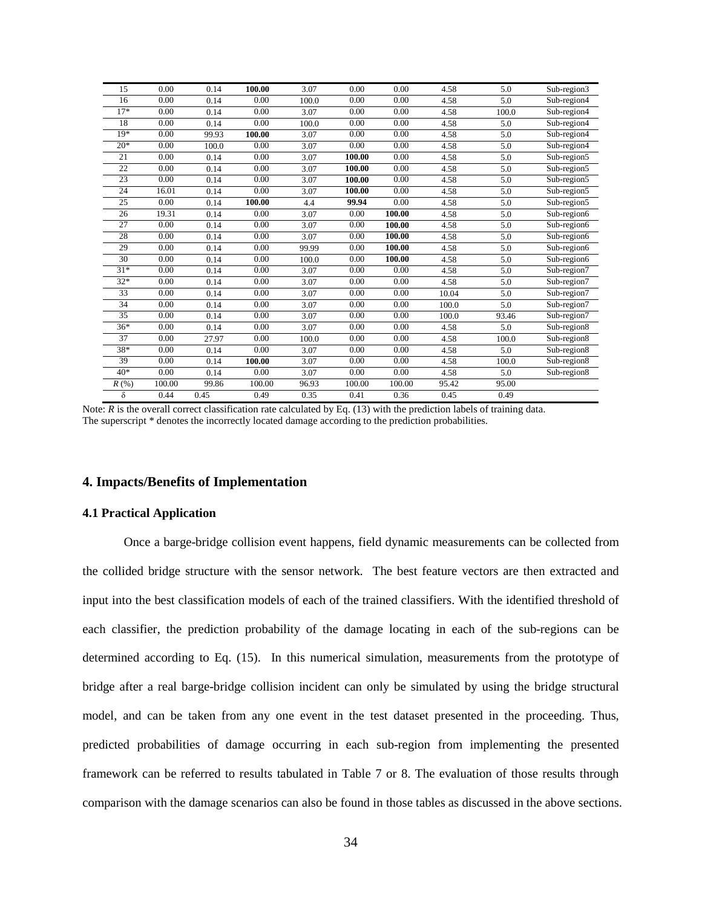| 15    | 0.00   | 0.14  | 100.00   | 3.07  | 0.00   | 0.00   | 4.58  | 5.0   | Sub-region3 |
|-------|--------|-------|----------|-------|--------|--------|-------|-------|-------------|
| 16    | 0.00   | 0.14  | 0.00     | 100.0 | 0.00   | 0.00   | 4.58  | 5.0   | Sub-region4 |
| $17*$ | 0.00   | 0.14  | 0.00     | 3.07  | 0.00   | 0.00   | 4.58  | 100.0 | Sub-region4 |
| 18    | 0.00   | 0.14  | 0.00     | 100.0 | 0.00   | 0.00   | 4.58  | 5.0   | Sub-region4 |
| $19*$ | 0.00   | 99.93 | 100.00   | 3.07  | 0.00   | 0.00   | 4.58  | 5.0   | Sub-region4 |
| $20*$ | 0.00   | 100.0 | 0.00     | 3.07  | 0.00   | 0.00   | 4.58  | 5.0   | Sub-region4 |
| 21    | 0.00   | 0.14  | 0.00     | 3.07  | 100.00 | 0.00   | 4.58  | 5.0   | Sub-region5 |
| 22    | 0.00   | 0.14  | 0.00     | 3.07  | 100.00 | 0.00   | 4.58  | 5.0   | Sub-region5 |
| 23    | 0.00   | 0.14  | 0.00     | 3.07  | 100.00 | 0.00   | 4.58  | 5.0   | Sub-region5 |
| 24    | 16.01  | 0.14  | 0.00     | 3.07  | 100.00 | 0.00   | 4.58  | 5.0   | Sub-region5 |
| 25    | 0.00   | 0.14  | 100.00   | 4.4   | 99.94  | 0.00   | 4.58  | 5.0   | Sub-region5 |
| 26    | 19.31  | 0.14  | 0.00     | 3.07  | 0.00   | 100.00 | 4.58  | 5.0   | Sub-region6 |
| 27    | 0.00   | 0.14  | 0.00     | 3.07  | 0.00   | 100.00 | 4.58  | 5.0   | Sub-region6 |
| 28    | 0.00   | 0.14  | 0.00     | 3.07  | 0.00   | 100.00 | 4.58  | 5.0   | Sub-region6 |
| 29    | 0.00   | 0.14  | 0.00     | 99.99 | 0.00   | 100.00 | 4.58  | 5.0   | Sub-region6 |
| 30    | 0.00   | 0.14  | 0.00     | 100.0 | 0.00   | 100.00 | 4.58  | 5.0   | Sub-region6 |
| $31*$ | 0.00   | 0.14  | 0.00     | 3.07  | 0.00   | 0.00   | 4.58  | 5.0   | Sub-region7 |
| $32*$ | 0.00   | 0.14  | 0.00     | 3.07  | 0.00   | 0.00   | 4.58  | 5.0   | Sub-region7 |
| 33    | 0.00   | 0.14  | $0.00\,$ | 3.07  | 0.00   | 0.00   | 10.04 | 5.0   | Sub-region7 |
| 34    | 0.00   | 0.14  | 0.00     | 3.07  | 0.00   | 0.00   | 100.0 | 5.0   | Sub-region7 |
| 35    | 0.00   | 0.14  | 0.00     | 3.07  | 0.00   | 0.00   | 100.0 | 93.46 | Sub-region7 |
| $36*$ | 0.00   | 0.14  | 0.00     | 3.07  | 0.00   | 0.00   | 4.58  | 5.0   | Sub-region8 |
| 37    | 0.00   | 27.97 | 0.00     | 100.0 | 0.00   | 0.00   | 4.58  | 100.0 | Sub-region8 |
| 38*   | 0.00   | 0.14  | 0.00     | 3.07  | 0.00   | 0.00   | 4.58  | 5.0   | Sub-region8 |
| 39    | 0.00   | 0.14  | 100.00   | 3.07  | 0.00   | 0.00   | 4.58  | 100.0 | Sub-region8 |
| $40*$ | 0.00   | 0.14  | 0.00     | 3.07  | 0.00   | 0.00   | 4.58  | 5.0   | Sub-region8 |
| R(%)  | 100.00 | 99.86 | 100.00   | 96.93 | 100.00 | 100.00 | 95.42 | 95.00 |             |
| δ     | 0.44   | 0.45  | 0.49     | 0.35  | 0.41   | 0.36   | 0.45  | 0.49  |             |

Note:  $R$  is the overall correct classification rate calculated by Eq. (13) with the prediction labels of training data. The superscript \* denotes the incorrectly located damage according to the prediction probabilities.

#### **4. Impacts/Benefits of Implementation**

#### **4.1 Practical Application**

Once a barge-bridge collision event happens, field dynamic measurements can be collected from the collided bridge structure with the sensor network. The best feature vectors are then extracted and input into the best classification models of each of the trained classifiers. With the identified threshold of each classifier, the prediction probability of the damage locating in each of the sub-regions can be determined according to Eq. (15). In this numerical simulation, measurements from the prototype of bridge after a real barge-bridge collision incident can only be simulated by using the bridge structural model, and can be taken from any one event in the test dataset presented in the proceeding. Thus, predicted probabilities of damage occurring in each sub-region from implementing the presented framework can be referred to results tabulated in Table 7 or 8. The evaluation of those results through comparison with the damage scenarios can also be found in those tables as discussed in the above sections.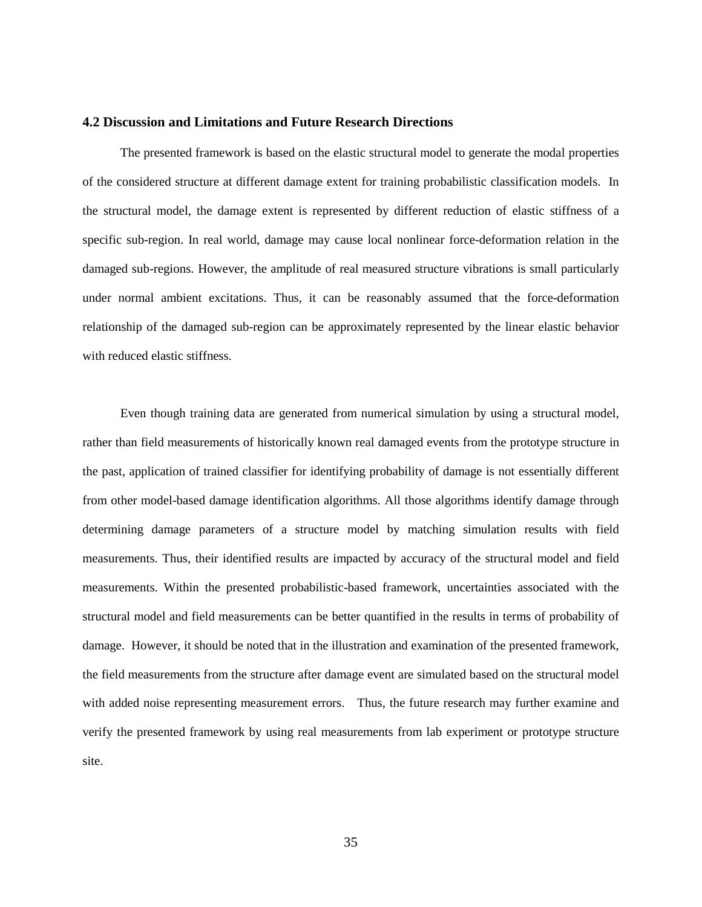# **4.2 Discussion and Limitations and Future Research Directions**

The presented framework is based on the elastic structural model to generate the modal properties of the considered structure at different damage extent for training probabilistic classification models. In the structural model, the damage extent is represented by different reduction of elastic stiffness of a specific sub-region. In real world, damage may cause local nonlinear force-deformation relation in the damaged sub-regions. However, the amplitude of real measured structure vibrations is small particularly under normal ambient excitations. Thus, it can be reasonably assumed that the force-deformation relationship of the damaged sub-region can be approximately represented by the linear elastic behavior with reduced elastic stiffness.

Even though training data are generated from numerical simulation by using a structural model, rather than field measurements of historically known real damaged events from the prototype structure in the past, application of trained classifier for identifying probability of damage is not essentially different from other model-based damage identification algorithms. All those algorithms identify damage through determining damage parameters of a structure model by matching simulation results with field measurements. Thus, their identified results are impacted by accuracy of the structural model and field measurements. Within the presented probabilistic-based framework, uncertainties associated with the structural model and field measurements can be better quantified in the results in terms of probability of damage. However, it should be noted that in the illustration and examination of the presented framework, the field measurements from the structure after damage event are simulated based on the structural model with added noise representing measurement errors. Thus, the future research may further examine and verify the presented framework by using real measurements from lab experiment or prototype structure site.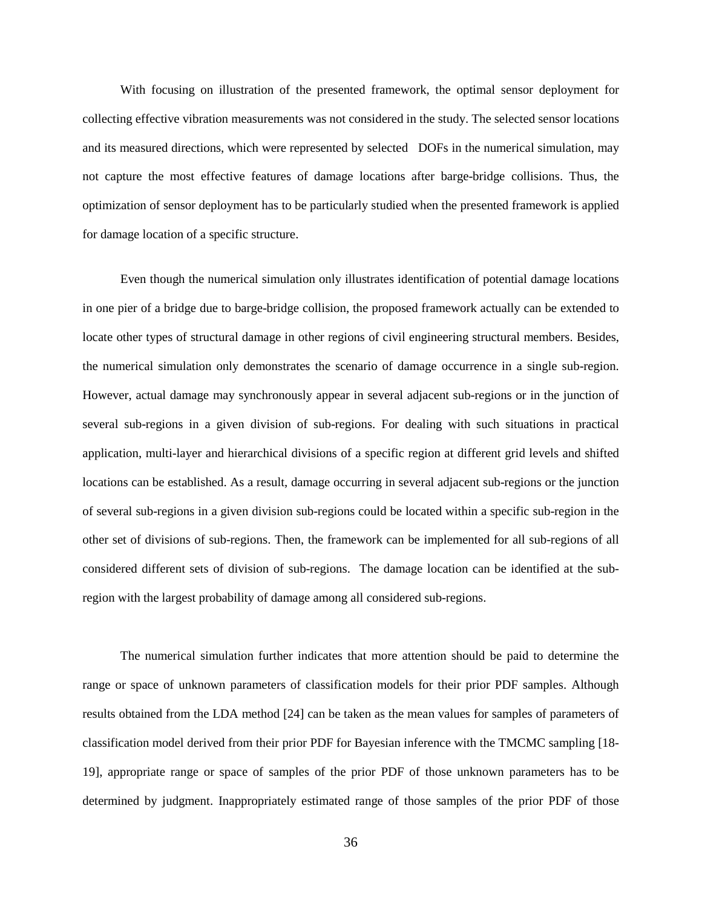With focusing on illustration of the presented framework, the optimal sensor deployment for collecting effective vibration measurements was not considered in the study. The selected sensor locations and its measured directions, which were represented by selected DOFs in the numerical simulation, may not capture the most effective features of damage locations after barge-bridge collisions. Thus, the optimization of sensor deployment has to be particularly studied when the presented framework is applied for damage location of a specific structure.

Even though the numerical simulation only illustrates identification of potential damage locations in one pier of a bridge due to barge-bridge collision, the proposed framework actually can be extended to locate other types of structural damage in other regions of civil engineering structural members. Besides, the numerical simulation only demonstrates the scenario of damage occurrence in a single sub-region. However, actual damage may synchronously appear in several adjacent sub-regions or in the junction of several sub-regions in a given division of sub-regions. For dealing with such situations in practical application, multi-layer and hierarchical divisions of a specific region at different grid levels and shifted locations can be established. As a result, damage occurring in several adjacent sub-regions or the junction of several sub-regions in a given division sub-regions could be located within a specific sub-region in the other set of divisions of sub-regions. Then, the framework can be implemented for all sub-regions of all considered different sets of division of sub-regions. The damage location can be identified at the subregion with the largest probability of damage among all considered sub-regions.

The numerical simulation further indicates that more attention should be paid to determine the range or space of unknown parameters of classification models for their prior PDF samples. Although results obtained from the LDA method [24] can be taken as the mean values for samples of parameters of classification model derived from their prior PDF for Bayesian inference with the TMCMC sampling [18- 19], appropriate range or space of samples of the prior PDF of those unknown parameters has to be determined by judgment. Inappropriately estimated range of those samples of the prior PDF of those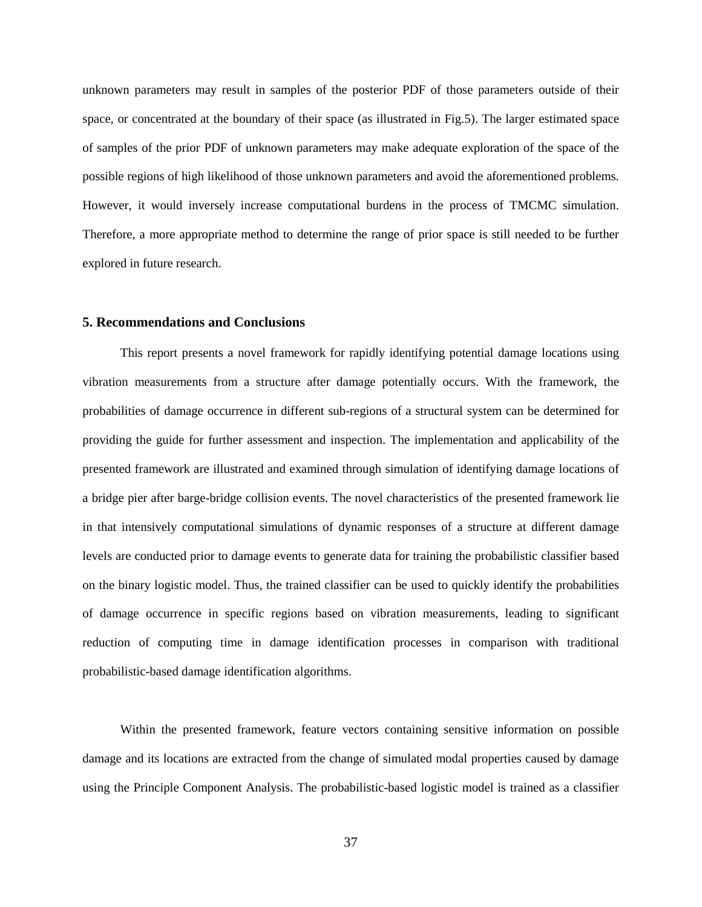unknown parameters may result in samples of the posterior PDF of those parameters outside of their space, or concentrated at the boundary of their space (as illustrated in Fig.5). The larger estimated space of samples of the prior PDF of unknown parameters may make adequate exploration of the space of the possible regions of high likelihood of those unknown parameters and avoid the aforementioned problems. However, it would inversely increase computational burdens in the process of TMCMC simulation. Therefore, a more appropriate method to determine the range of prior space is still needed to be further explored in future research.

# **5. Recommendations and Conclusions**

This report presents a novel framework for rapidly identifying potential damage locations using vibration measurements from a structure after damage potentially occurs. With the framework, the probabilities of damage occurrence in different sub-regions of a structural system can be determined for providing the guide for further assessment and inspection. The implementation and applicability of the presented framework are illustrated and examined through simulation of identifying damage locations of a bridge pier after barge-bridge collision events. The novel characteristics of the presented framework lie in that intensively computational simulations of dynamic responses of a structure at different damage levels are conducted prior to damage events to generate data for training the probabilistic classifier based on the binary logistic model. Thus, the trained classifier can be used to quickly identify the probabilities of damage occurrence in specific regions based on vibration measurements, leading to significant reduction of computing time in damage identification processes in comparison with traditional probabilistic-based damage identification algorithms.

Within the presented framework, feature vectors containing sensitive information on possible damage and its locations are extracted from the change of simulated modal properties caused by damage using the Principle Component Analysis. The probabilistic-based logistic model is trained as a classifier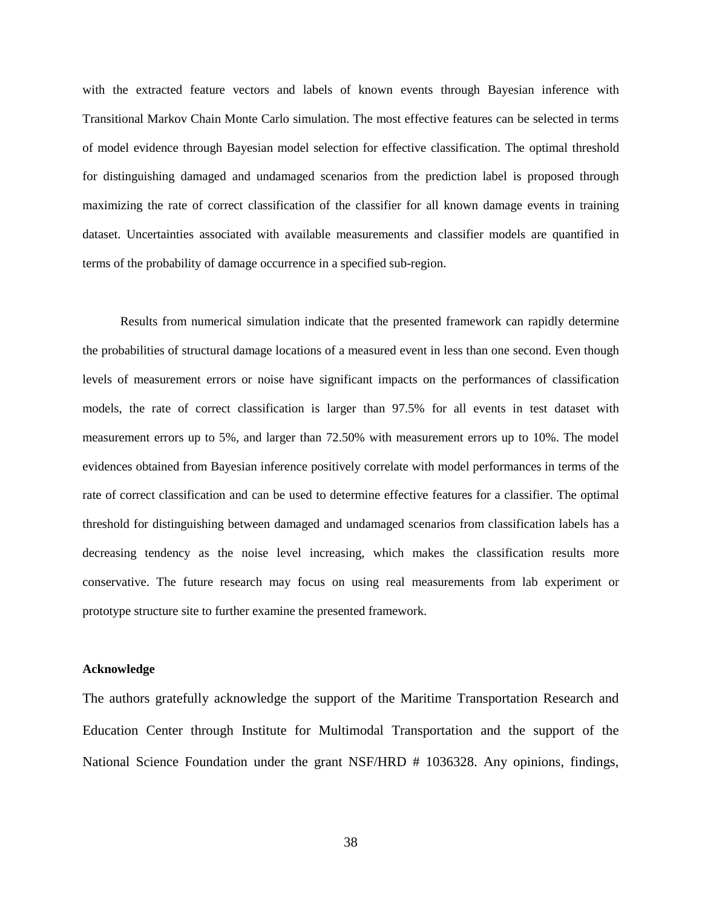with the extracted feature vectors and labels of known events through Bayesian inference with Transitional Markov Chain Monte Carlo simulation. The most effective features can be selected in terms of model evidence through Bayesian model selection for effective classification. The optimal threshold for distinguishing damaged and undamaged scenarios from the prediction label is proposed through maximizing the rate of correct classification of the classifier for all known damage events in training dataset. Uncertainties associated with available measurements and classifier models are quantified in terms of the probability of damage occurrence in a specified sub-region.

Results from numerical simulation indicate that the presented framework can rapidly determine the probabilities of structural damage locations of a measured event in less than one second. Even though levels of measurement errors or noise have significant impacts on the performances of classification models, the rate of correct classification is larger than 97.5% for all events in test dataset with measurement errors up to 5%, and larger than 72.50% with measurement errors up to 10%. The model evidences obtained from Bayesian inference positively correlate with model performances in terms of the rate of correct classification and can be used to determine effective features for a classifier. The optimal threshold for distinguishing between damaged and undamaged scenarios from classification labels has a decreasing tendency as the noise level increasing, which makes the classification results more conservative. The future research may focus on using real measurements from lab experiment or prototype structure site to further examine the presented framework.

# **Acknowledge**

The authors gratefully acknowledge the support of the Maritime Transportation Research and Education Center through Institute for Multimodal Transportation and the support of the National Science Foundation under the grant NSF/HRD # 1036328. Any opinions, findings,

38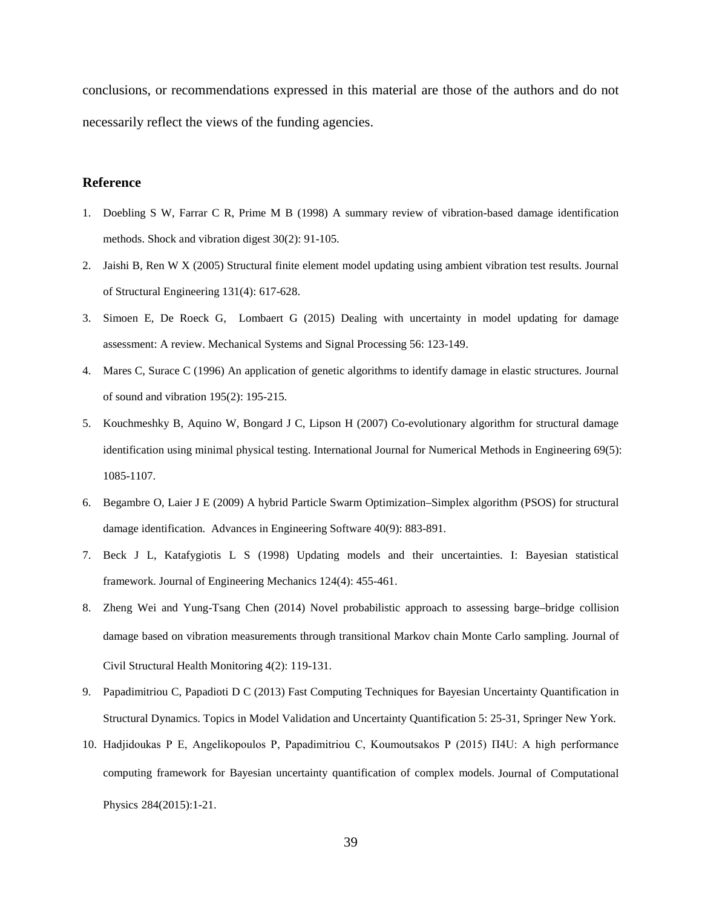conclusions, or recommendations expressed in this material are those of the authors and do not necessarily reflect the views of the funding agencies.

# **Reference**

- 1. Doebling S W, Farrar C R, Prime M B (1998) A summary review of vibration-based damage identification methods. Shock and vibration digest 30(2): 91-105.
- 2. Jaishi B, Ren W X (2005) Structural finite element model updating using ambient vibration test results. Journal of Structural Engineering [131\(4\):](http://dx.doi.org/10.1061/(ASCE)0733-9445(2005)131:4(617)) 617-628.
- 3. Simoen E, De Roeck G, Lombaert G (2015) Dealing with uncertainty in model updating for damage assessment: A review. Mechanical Systems and Signal Processing 56: 123-149.
- 4. Mares C, Surace C (1996) An application of genetic algorithms to identify damage in elastic structures. Journal of sound and vibration 195(2): 195-215.
- 5. Kouchmeshky B, Aquino W, Bongard J C, Lipson H (2007) Co-evolutionary algorithm for structural damage identification using minimal physical testing. International Journal for Numerical Methods in Engineering 69(5): 1085-1107.
- 6. Begambre O, Laier J E (2009) A hybrid Particle Swarm Optimization–Simplex algorithm (PSOS) for structural damage identification. Advances in Engineering Software 40(9): 883-891.
- 7. Beck J L, Katafygiotis L S (1998) Updating models and their uncertainties. I: Bayesian statistical framework. Journal of Engineering Mechanics 124(4): 455-461.
- 8. Zheng Wei and Yung-Tsang Chen (2014) Novel probabilistic approach to assessing barge–bridge collision damage based on vibration measurements through transitional Markov chain Monte Carlo sampling. Journal of Civil Structural Health Monitoring 4(2): 119-131.
- 9. Papadimitriou C, Papadioti D C (2013) Fast Computing Techniques for Bayesian Uncertainty Quantification in Structural Dynamics. Topics in Model Validation and Uncertainty Quantification 5: 25-31, Springer New York.
- 10. Hadjidoukas P E, Angelikopoulos P, Papadimitriou C, Koumoutsakos P (2015) Π4U: A high performance computing framework for Bayesian uncertainty quantification of complex models. Journal of Computational Physics 284(2015):1-21.